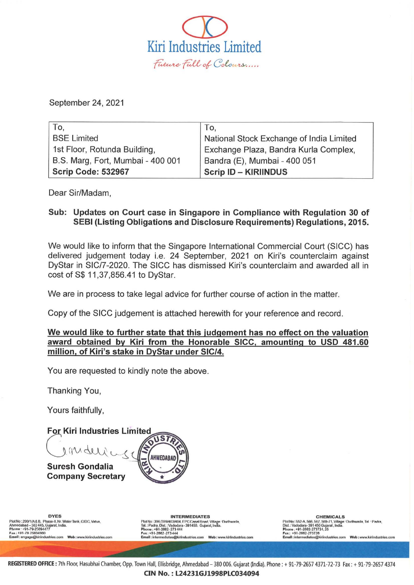

September 24, 2021

| To,                               | To.                                      |
|-----------------------------------|------------------------------------------|
| <b>BSE Limited</b>                | National Stock Exchange of India Limited |
| 1st Floor, Rotunda Building,      | Exchange Plaza, Bandra Kurla Complex,    |
| B.S. Marg, Fort, Mumbai - 400 001 | Bandra (E), Mumbai - 400 051             |
| <b>Scrip Code: 532967</b>         | <b>Scrip ID - KIRIINDUS</b>              |

Dear Sir/Madam,

## Sub: Updates on Court case in Singapore in Compliance with Regulation 30 of SEBI (Listing Obligations and Disclosure Requirements) Regulations, 2015.

We would like to inform that the Singapore International Commercial Court (SICC) has delivered judgement today i.e. 24 September, 2021 on Kiri's counterclaim against DyStar in SIC/7-2020. The SICC has dismissed Kiri's counterclaim and awarded all in cost of S\$ 11,37,856.41 to DyStar.

We are in process to take legal advice for further course of action in the matter.

Copy of the SICC judgement is attached herewith for your reference and record.

We would like to further state that this judgement has no effect on the valuation award obtained by Kiri from the Honorable SICC, amounting to USD 481.60 million, of Kiri's stake in DyStar under SIC/4.

You are requested to kindly note the above.

Thanking You,

Yours faithfully,

**For Kiri Industries Limited** USTA rachie AHMEDABAD **Suresh Gondalia Company Secretary** 

Plot No : 299/1/A& B. Phase-II. Nr. Water Tank, GIDC, Vatva,<br>Ahmedabad -- 382 445, Gujarat, India.<br>Phone : +91-79-25094477 Elmll :engage@kirlindu&llieu:om Web:: klr iir lllu!ilr;"" wm

DYES CHEMICALS INTERMEDIATES CHEMICALS P\oINo: 2OOIl /A& B. PMII9-II. Nr. WAler ~"'k OC, ""ivA, ~:~::~~~~~~I~~~7J: ~~t...NIA. f1'InINn ;SS2·A,MIII, t.R7, t.RU-1 1, "'\*"O"· rhll1hwlW111, ' .... ·PM.". Oist : V8dodara- 391450 Guiarat. India. ~:?::.7~;~·,g?raL ndia. PI"" .. . . 81-2002 27t <sup>H</sup> " ",,: .. OI·ZM2 ·21'34oW Ema U:: lOItll~IOIII@ urli"du"lriI:ta.com W.b : www.klrtlndustrles.com

Phone : +91-2002-273724, 25<br>| Fax : +91-2662-273726<br>| Email : inlermediales@kiriindustries.com | Web : www.kiriindustries.com

REGISTERED OFFICE : 7th Floor, Hasubhai Chamber, Opp. Town Hall, Ellisbridge, Ahmedabad - 380 006. Gujarat (India). Phone: + 91-79-2657 4371-72-73 Fax: + 91-79-2657 4374 CINNo. : L24231GJ1998PLC034094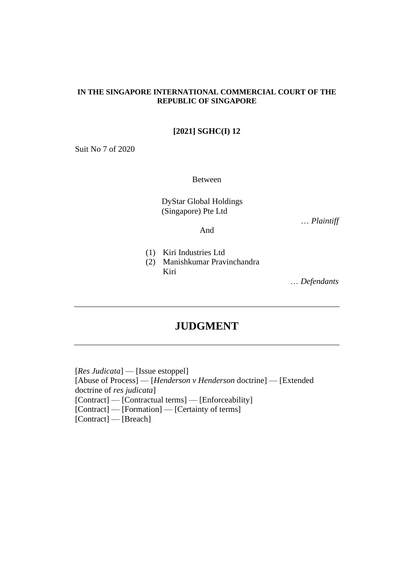#### **IN THE SINGAPORE INTERNATIONAL COMMERCIAL COURT OF THE REPUBLIC OF SINGAPORE**

## **[2021] SGHC(I) 12**

Suit No 7 of 2020

Between

DyStar Global Holdings (Singapore) Pte Ltd

… *Plaintiff*

And

- (1) Kiri Industries Ltd
- (2) Manishkumar Pravinchandra Kiri

… *Defendants*

# **JUDGMENT**

[*Res Judicata*] — [Issue estoppel] [Abuse of Process] — [*Henderson v Henderson* doctrine] — [Extended doctrine of *res judicata*] [Contract] — [Contractual terms] — [Enforceability] [Contract] — [Formation] — [Certainty of terms] [Contract] — [Breach]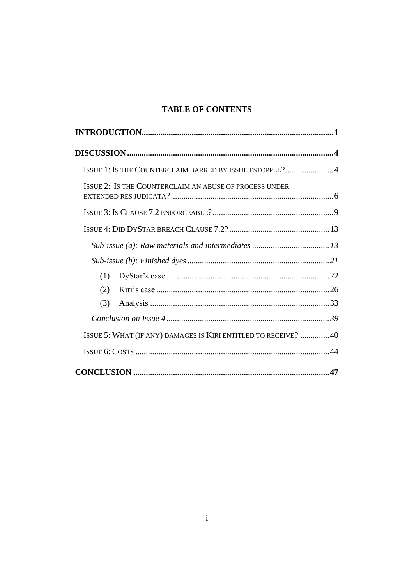# **TABLE OF CONTENTS**

|     | ISSUE 1: IS THE COUNTERCLAIM BARRED BY ISSUE ESTOPPEL?4         |  |
|-----|-----------------------------------------------------------------|--|
|     | ISSUE 2: IS THE COUNTERCLAIM AN ABUSE OF PROCESS UNDER          |  |
|     |                                                                 |  |
|     |                                                                 |  |
|     |                                                                 |  |
|     |                                                                 |  |
| (1) |                                                                 |  |
| (2) |                                                                 |  |
| (3) |                                                                 |  |
|     |                                                                 |  |
|     | ISSUE 5: WHAT (IF ANY) DAMAGES IS KIRI ENTITLED TO RECEIVE?  40 |  |
|     |                                                                 |  |
|     |                                                                 |  |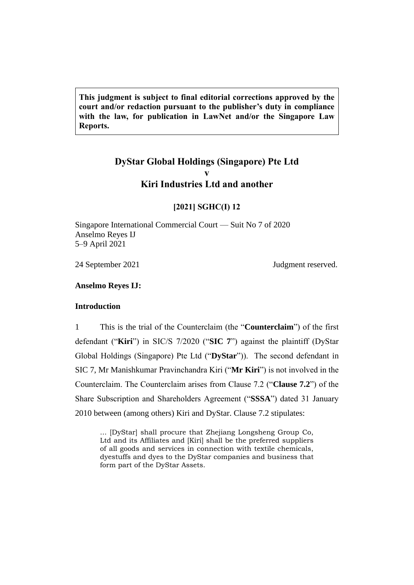**This judgment is subject to final editorial corrections approved by the court and/or redaction pursuant to the publisher's duty in compliance with the law, for publication in LawNet and/or the Singapore Law Reports.**

# **DyStar Global Holdings (Singapore) Pte Ltd v Kiri Industries Ltd and another**

#### **[2021] SGHC(I) 12**

Singapore International Commercial Court — Suit No 7 of 2020 Anselmo Reyes IJ 5–9 April 2021

24 September 2021 Judgment reserved.

#### <span id="page-3-0"></span>**Anselmo Reyes IJ:**

#### **Introduction**

1 This is the trial of the Counterclaim (the "**Counterclaim**") of the first defendant ("**Kiri**") in SIC/S 7/2020 ("**SIC 7**") against the plaintiff (DyStar Global Holdings (Singapore) Pte Ltd ("**DyStar**")). The second defendant in SIC 7, Mr Manishkumar Pravinchandra Kiri ("**Mr Kiri**") is not involved in the Counterclaim. The Counterclaim arises from Clause 7.2 ("**Clause 7.2**") of the Share Subscription and Shareholders Agreement ("**SSSA**") dated 31 January 2010 between (among others) Kiri and DyStar. Clause 7.2 stipulates:

... [DyStar] shall procure that Zhejiang Longsheng Group Co, Ltd and its Affiliates and [Kiri] shall be the preferred suppliers of all goods and services in connection with textile chemicals, dyestuffs and dyes to the DyStar companies and business that form part of the DyStar Assets.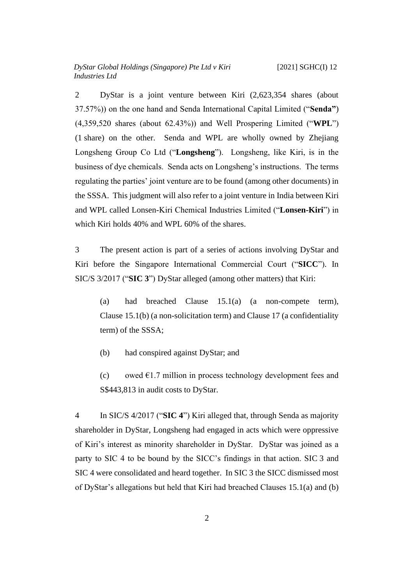2 DyStar is a joint venture between Kiri (2,623,354 shares (about 37.57%)) on the one hand and Senda International Capital Limited ("**Senda"**) (4,359,520 shares (about 62.43%)) and Well Prospering Limited ("**WPL**") (1 share) on the other. Senda and WPL are wholly owned by Zhejiang Longsheng Group Co Ltd ("**Longsheng**"). Longsheng, like Kiri, is in the business of dye chemicals. Senda acts on Longsheng's instructions. The terms regulating the parties' joint venture are to be found (among other documents) in the SSSA. This judgment will also refer to a joint venture in India between Kiri and WPL called Lonsen-Kiri Chemical Industries Limited ("**Lonsen-Kiri**") in which Kiri holds 40% and WPL 60% of the shares.

3 The present action is part of a series of actions involving DyStar and Kiri before the Singapore International Commercial Court ("**SICC**"). In SIC/S 3/2017 ("**SIC 3**") DyStar alleged (among other matters) that Kiri:

(a) had breached Clause 15.1(a) (a non-compete term), Clause 15.1(b) (a non-solicitation term) and Clause 17 (a confidentiality term) of the SSSA;

(b) had conspired against DyStar; and

(c) owed  $\epsilon$ 1.7 million in process technology development fees and S\$443,813 in audit costs to DyStar.

4 In SIC/S 4/2017 ("**SIC 4**") Kiri alleged that, through Senda as majority shareholder in DyStar, Longsheng had engaged in acts which were oppressive of Kiri's interest as minority shareholder in DyStar. DyStar was joined as a party to SIC 4 to be bound by the SICC's findings in that action. SIC 3 and SIC 4 were consolidated and heard together. In SIC 3 the SICC dismissed most of DyStar's allegations but held that Kiri had breached Clauses 15.1(a) and (b)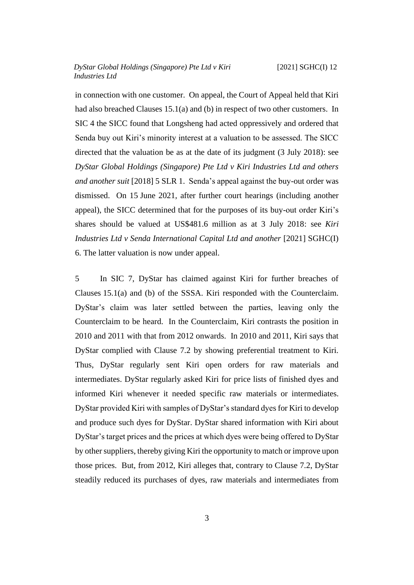in connection with one customer. On appeal, the Court of Appeal held that Kiri had also breached Clauses 15.1(a) and (b) in respect of two other customers. In SIC 4 the SICC found that Longsheng had acted oppressively and ordered that Senda buy out Kiri's minority interest at a valuation to be assessed. The SICC directed that the valuation be as at the date of its judgment (3 July 2018): see *DyStar Global Holdings (Singapore) Pte Ltd v Kiri Industries Ltd and others and another suit* [2018] 5 SLR 1. Senda's appeal against the buy-out order was dismissed. On 15 June 2021, after further court hearings (including another appeal), the SICC determined that for the purposes of its buy-out order Kiri's shares should be valued at US\$481.6 million as at 3 July 2018: see *Kiri Industries Ltd v Senda International Capital Ltd and another* [2021] SGHC(I) 6. The latter valuation is now under appeal.

5 In SIC 7, DyStar has claimed against Kiri for further breaches of Clauses 15.1(a) and (b) of the SSSA. Kiri responded with the Counterclaim. DyStar's claim was later settled between the parties, leaving only the Counterclaim to be heard. In the Counterclaim, Kiri contrasts the position in 2010 and 2011 with that from 2012 onwards. In 2010 and 2011, Kiri says that DyStar complied with Clause 7.2 by showing preferential treatment to Kiri. Thus, DyStar regularly sent Kiri open orders for raw materials and intermediates. DyStar regularly asked Kiri for price lists of finished dyes and informed Kiri whenever it needed specific raw materials or intermediates. DyStar provided Kiri with samples of DyStar's standard dyes for Kiri to develop and produce such dyes for DyStar. DyStar shared information with Kiri about DyStar's target prices and the prices at which dyes were being offered to DyStar by other suppliers, thereby giving Kiri the opportunity to match or improve upon those prices. But, from 2012, Kiri alleges that, contrary to Clause 7.2, DyStar steadily reduced its purchases of dyes, raw materials and intermediates from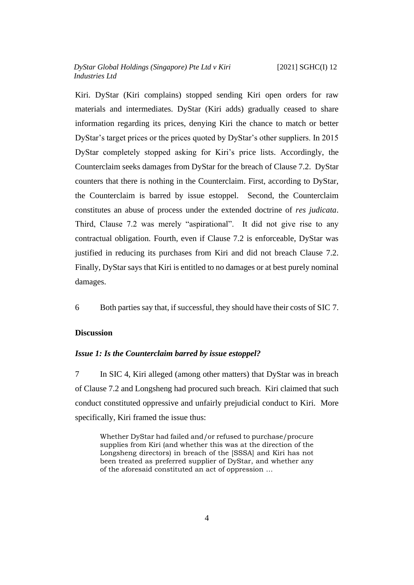Kiri. DyStar (Kiri complains) stopped sending Kiri open orders for raw materials and intermediates. DyStar (Kiri adds) gradually ceased to share information regarding its prices, denying Kiri the chance to match or better DyStar's target prices or the prices quoted by DyStar's other suppliers. In 2015 DyStar completely stopped asking for Kiri's price lists. Accordingly, the Counterclaim seeks damages from DyStar for the breach of Clause 7.2. DyStar counters that there is nothing in the Counterclaim. First, according to DyStar, the Counterclaim is barred by issue estoppel. Second, the Counterclaim constitutes an abuse of process under the extended doctrine of *res judicata*. Third, Clause 7.2 was merely "aspirational". It did not give rise to any contractual obligation. Fourth, even if Clause 7.2 is enforceable, DyStar was justified in reducing its purchases from Kiri and did not breach Clause 7.2. Finally, DyStar says that Kiri is entitled to no damages or at best purely nominal damages.

6 Both parties say that, if successful, they should have their costs of SIC 7.

## <span id="page-6-1"></span><span id="page-6-0"></span>**Discussion**

#### *Issue 1: Is the Counterclaim barred by issue estoppel?*

7 In SIC 4, Kiri alleged (among other matters) that DyStar was in breach of Clause 7.2 and Longsheng had procured such breach. Kiri claimed that such conduct constituted oppressive and unfairly prejudicial conduct to Kiri. More specifically, Kiri framed the issue thus:

Whether DyStar had failed and/or refused to purchase/procure supplies from Kiri (and whether this was at the direction of the Longsheng directors) in breach of the [SSSA] and Kiri has not been treated as preferred supplier of DyStar, and whether any of the aforesaid constituted an act of oppression …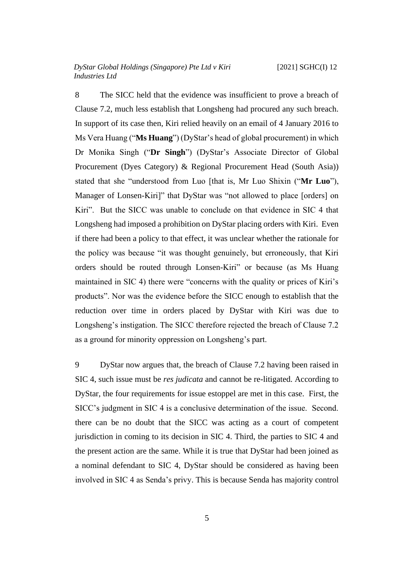8 The SICC held that the evidence was insufficient to prove a breach of Clause 7.2, much less establish that Longsheng had procured any such breach. In support of its case then, Kiri relied heavily on an email of 4 January 2016 to Ms Vera Huang ("**Ms Huang**") (DyStar's head of global procurement) in which Dr Monika Singh ("**Dr Singh**") (DyStar's Associate Director of Global Procurement (Dyes Category) & Regional Procurement Head (South Asia)) stated that she "understood from Luo [that is, Mr Luo Shixin ("**Mr Luo**"), Manager of Lonsen-Kiri]" that DyStar was "not allowed to place [orders] on Kiri". But the SICC was unable to conclude on that evidence in SIC 4 that Longsheng had imposed a prohibition on DyStar placing orders with Kiri. Even if there had been a policy to that effect, it was unclear whether the rationale for the policy was because "it was thought genuinely, but erroneously, that Kiri orders should be routed through Lonsen-Kiri" or because (as Ms Huang maintained in SIC 4) there were "concerns with the quality or prices of Kiri's products". Nor was the evidence before the SICC enough to establish that the reduction over time in orders placed by DyStar with Kiri was due to Longsheng's instigation. The SICC therefore rejected the breach of Clause 7.2 as a ground for minority oppression on Longsheng's part.

9 DyStar now argues that, the breach of Clause 7.2 having been raised in SIC 4, such issue must be *res judicata* and cannot be re-litigated. According to DyStar, the four requirements for issue estoppel are met in this case. First, the SICC's judgment in SIC 4 is a conclusive determination of the issue. Second. there can be no doubt that the SICC was acting as a court of competent jurisdiction in coming to its decision in SIC 4. Third, the parties to SIC 4 and the present action are the same. While it is true that DyStar had been joined as a nominal defendant to SIC 4, DyStar should be considered as having been involved in SIC 4 as Senda's privy. This is because Senda has majority control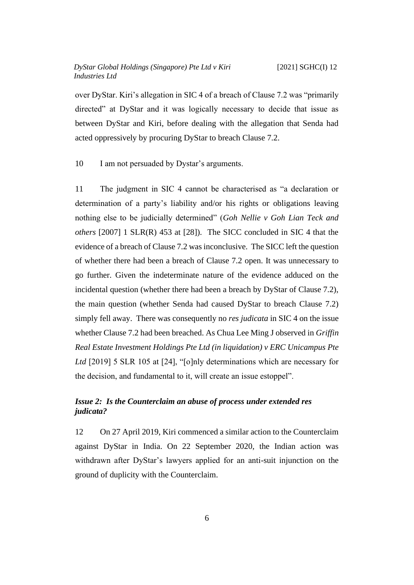over DyStar. Kiri's allegation in SIC 4 of a breach of Clause 7.2 was "primarily directed" at DyStar and it was logically necessary to decide that issue as between DyStar and Kiri, before dealing with the allegation that Senda had acted oppressively by procuring DyStar to breach Clause 7.2.

10 I am not persuaded by Dystar's arguments.

11 The judgment in SIC 4 cannot be characterised as "a declaration or determination of a party's liability and/or his rights or obligations leaving nothing else to be judicially determined" (*Goh Nellie v Goh Lian Teck and others* [2007] 1 SLR(R) 453 at [28]). The SICC concluded in SIC 4 that the evidence of a breach of Clause 7.2 was inconclusive. The SICC left the question of whether there had been a breach of Clause 7.2 open. It was unnecessary to go further. Given the indeterminate nature of the evidence adduced on the incidental question (whether there had been a breach by DyStar of Clause 7.2), the main question (whether Senda had caused DyStar to breach Clause 7.2) simply fell away. There was consequently no *res judicata* in SIC 4 on the issue whether Clause 7.2 had been breached. As Chua Lee Ming J observed in *Griffin Real Estate Investment Holdings Pte Ltd (in liquidation) v ERC Unicampus Pte Ltd* [2019] 5 SLR 105 at [24], "[o]nly determinations which are necessary for the decision, and fundamental to it, will create an issue estoppel".

## <span id="page-8-0"></span>*Issue 2: Is the Counterclaim an abuse of process under extended res judicata?*

12 On 27 April 2019, Kiri commenced a similar action to the Counterclaim against DyStar in India. On 22 September 2020, the Indian action was withdrawn after DyStar's lawyers applied for an anti-suit injunction on the ground of duplicity with the Counterclaim.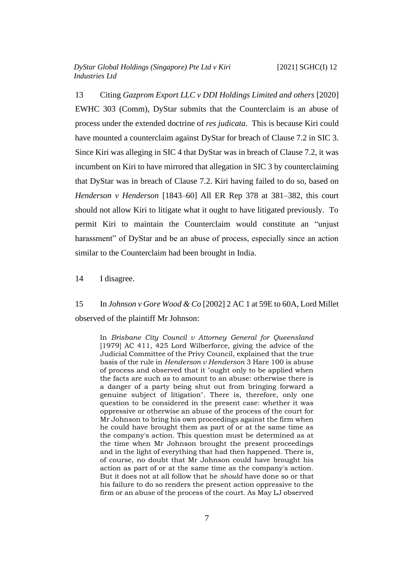13 Citing *Gazprom Export LLC v DDI Holdings Limited and others* [2020] EWHC 303 (Comm), DyStar submits that the Counterclaim is an abuse of process under the extended doctrine of *res judicata*. This is because Kiri could have mounted a counterclaim against DyStar for breach of Clause 7.2 in SIC 3. Since Kiri was alleging in SIC 4 that DyStar was in breach of Clause 7.2, it was incumbent on Kiri to have mirrored that allegation in SIC 3 by counterclaiming that DyStar was in breach of Clause 7.2. Kiri having failed to do so, based on *Henderson v Henderson* [1843–60] All ER Rep 378 at 381–382, this court should not allow Kiri to litigate what it ought to have litigated previously. To permit Kiri to maintain the Counterclaim would constitute an "unjust harassment" of DyStar and be an abuse of process, especially since an action similar to the Counterclaim had been brought in India.

14 I disagree.

15 In *Johnson v Gore Wood & Co* [2002] 2 AC 1 at 59E to 60A, Lord Millet observed of the plaintiff Mr Johnson:

In *Brisbane City Council v Attorney General for Queensland* [1979] AC 411, 425 Lord Wilberforce, giving the advice of the Judicial Committee of the Privy Council, explained that the true basis of the rule in *Henderson v Henderson* 3 Hare 100 is abuse of process and observed that it "ought only to be applied when the facts are such as to amount to an abuse: otherwise there is a danger of a party being shut out from bringing forward a genuine subject of litigation". There is, therefore, only one question to be considered in the present case: whether it was oppressive or otherwise an abuse of the process of the court for Mr Johnson to bring his own proceedings against the firm when he could have brought them as part of or at the same time as the company's action. This question must be determined as at the time when Mr Johnson brought the present proceedings and in the light of everything that had then happened. There is, of course, no doubt that Mr Johnson could have brought his action as part of or at the same time as the company's action. But it does not at all follow that he *should* have done so or that his failure to do so renders the present action oppressive to the firm or an abuse of the process of the court. As May LJ observed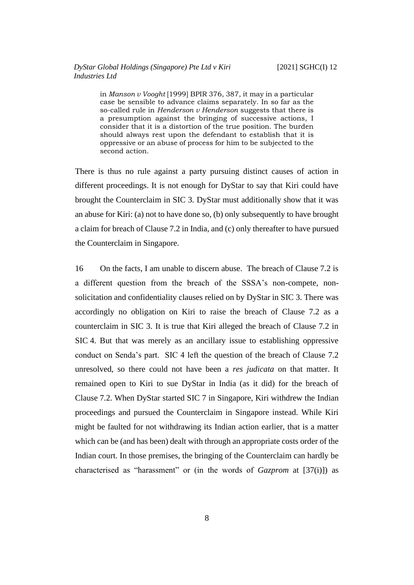in *Manson v Vooght* [1999] BPIR 376, 387, it may in a particular case be sensible to advance claims separately. In so far as the so-called rule in *Henderson v Henderson* suggests that there is a presumption against the bringing of successive actions, I consider that it is a distortion of the true position. The burden should always rest upon the defendant to establish that it is oppressive or an abuse of process for him to be subjected to the second action.

There is thus no rule against a party pursuing distinct causes of action in different proceedings. It is not enough for DyStar to say that Kiri could have brought the Counterclaim in SIC 3. DyStar must additionally show that it was an abuse for Kiri: (a) not to have done so, (b) only subsequently to have brought a claim for breach of Clause 7.2 in India, and (c) only thereafter to have pursued the Counterclaim in Singapore.

16 On the facts, I am unable to discern abuse. The breach of Clause 7.2 is a different question from the breach of the SSSA's non-compete, nonsolicitation and confidentiality clauses relied on by DyStar in SIC 3. There was accordingly no obligation on Kiri to raise the breach of Clause 7.2 as a counterclaim in SIC 3. It is true that Kiri alleged the breach of Clause 7.2 in SIC 4. But that was merely as an ancillary issue to establishing oppressive conduct on Senda's part. SIC 4 left the question of the breach of Clause 7.2 unresolved, so there could not have been a *res judicata* on that matter. It remained open to Kiri to sue DyStar in India (as it did) for the breach of Clause 7.2. When DyStar started SIC 7 in Singapore, Kiri withdrew the Indian proceedings and pursued the Counterclaim in Singapore instead. While Kiri might be faulted for not withdrawing its Indian action earlier, that is a matter which can be (and has been) dealt with through an appropriate costs order of the Indian court. In those premises, the bringing of the Counterclaim can hardly be characterised as "harassment" or (in the words of *Gazprom* at [37(i)]) as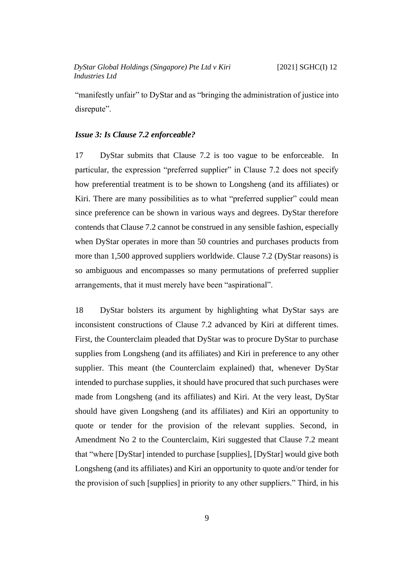"manifestly unfair" to DyStar and as "bringing the administration of justice into disrepute".

#### <span id="page-11-0"></span>*Issue 3: Is Clause 7.2 enforceable?*

17 DyStar submits that Clause 7.2 is too vague to be enforceable. In particular, the expression "preferred supplier" in Clause 7.2 does not specify how preferential treatment is to be shown to Longsheng (and its affiliates) or Kiri. There are many possibilities as to what "preferred supplier" could mean since preference can be shown in various ways and degrees. DyStar therefore contends that Clause 7.2 cannot be construed in any sensible fashion, especially when DyStar operates in more than 50 countries and purchases products from more than 1,500 approved suppliers worldwide. Clause 7.2 (DyStar reasons) is so ambiguous and encompasses so many permutations of preferred supplier arrangements, that it must merely have been "aspirational".

18 DyStar bolsters its argument by highlighting what DyStar says are inconsistent constructions of Clause 7.2 advanced by Kiri at different times. First, the Counterclaim pleaded that DyStar was to procure DyStar to purchase supplies from Longsheng (and its affiliates) and Kiri in preference to any other supplier. This meant (the Counterclaim explained) that, whenever DyStar intended to purchase supplies, it should have procured that such purchases were made from Longsheng (and its affiliates) and Kiri. At the very least, DyStar should have given Longsheng (and its affiliates) and Kiri an opportunity to quote or tender for the provision of the relevant supplies. Second, in Amendment No 2 to the Counterclaim, Kiri suggested that Clause 7.2 meant that "where [DyStar] intended to purchase [supplies], [DyStar] would give both Longsheng (and its affiliates) and Kiri an opportunity to quote and/or tender for the provision of such [supplies] in priority to any other suppliers." Third, in his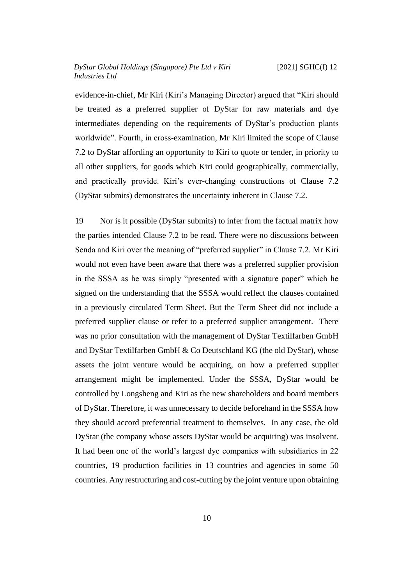evidence-in-chief, Mr Kiri (Kiri's Managing Director) argued that "Kiri should be treated as a preferred supplier of DyStar for raw materials and dye intermediates depending on the requirements of DyStar's production plants worldwide". Fourth, in cross-examination, Mr Kiri limited the scope of Clause 7.2 to DyStar affording an opportunity to Kiri to quote or tender, in priority to all other suppliers, for goods which Kiri could geographically, commercially, and practically provide. Kiri's ever-changing constructions of Clause 7.2 (DyStar submits) demonstrates the uncertainty inherent in Clause 7.2.

19 Nor is it possible (DyStar submits) to infer from the factual matrix how the parties intended Clause 7.2 to be read. There were no discussions between Senda and Kiri over the meaning of "preferred supplier" in Clause 7.2. Mr Kiri would not even have been aware that there was a preferred supplier provision in the SSSA as he was simply "presented with a signature paper" which he signed on the understanding that the SSSA would reflect the clauses contained in a previously circulated Term Sheet. But the Term Sheet did not include a preferred supplier clause or refer to a preferred supplier arrangement. There was no prior consultation with the management of DyStar Textilfarben GmbH and DyStar Textilfarben GmbH & Co Deutschland KG (the old DyStar), whose assets the joint venture would be acquiring, on how a preferred supplier arrangement might be implemented. Under the SSSA, DyStar would be controlled by Longsheng and Kiri as the new shareholders and board members of DyStar. Therefore, it was unnecessary to decide beforehand in the SSSA how they should accord preferential treatment to themselves. In any case, the old DyStar (the company whose assets DyStar would be acquiring) was insolvent. It had been one of the world's largest dye companies with subsidiaries in 22 countries, 19 production facilities in 13 countries and agencies in some 50 countries. Any restructuring and cost-cutting by the joint venture upon obtaining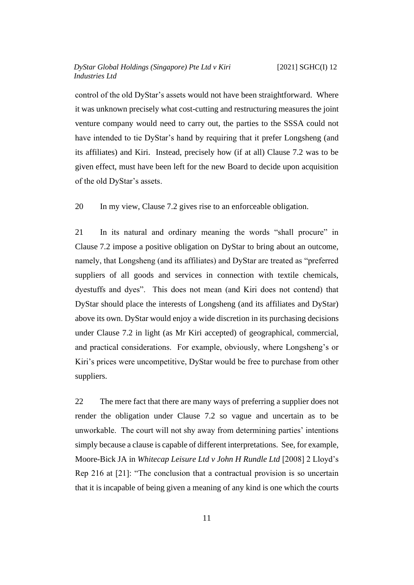control of the old DyStar's assets would not have been straightforward. Where it was unknown precisely what cost-cutting and restructuring measures the joint venture company would need to carry out, the parties to the SSSA could not have intended to tie DyStar's hand by requiring that it prefer Longsheng (and its affiliates) and Kiri. Instead, precisely how (if at all) Clause 7.2 was to be given effect, must have been left for the new Board to decide upon acquisition of the old DyStar's assets.

20 In my view, Clause 7.2 gives rise to an enforceable obligation.

21 In its natural and ordinary meaning the words "shall procure" in Clause 7.2 impose a positive obligation on DyStar to bring about an outcome, namely, that Longsheng (and its affiliates) and DyStar are treated as "preferred suppliers of all goods and services in connection with textile chemicals, dyestuffs and dyes". This does not mean (and Kiri does not contend) that DyStar should place the interests of Longsheng (and its affiliates and DyStar) above its own. DyStar would enjoy a wide discretion in its purchasing decisions under Clause 7.2 in light (as Mr Kiri accepted) of geographical, commercial, and practical considerations. For example, obviously, where Longsheng's or Kiri's prices were uncompetitive, DyStar would be free to purchase from other suppliers.

22 The mere fact that there are many ways of preferring a supplier does not render the obligation under Clause 7.2 so vague and uncertain as to be unworkable. The court will not shy away from determining parties' intentions simply because a clause is capable of different interpretations. See, for example, Moore-Bick JA in *Whitecap Leisure Ltd v John H Rundle Ltd* [2008] 2 Lloyd's Rep 216 at [21]: "The conclusion that a contractual provision is so uncertain that it is incapable of being given a meaning of any kind is one which the courts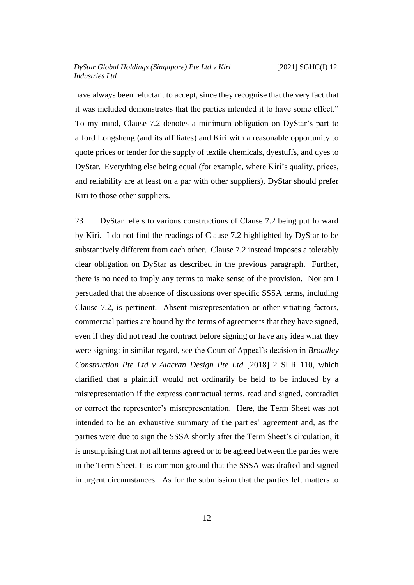have always been reluctant to accept, since they recognise that the very fact that it was included demonstrates that the parties intended it to have some effect." To my mind, Clause 7.2 denotes a minimum obligation on DyStar's part to afford Longsheng (and its affiliates) and Kiri with a reasonable opportunity to quote prices or tender for the supply of textile chemicals, dyestuffs, and dyes to DyStar. Everything else being equal (for example, where Kiri's quality, prices, and reliability are at least on a par with other suppliers), DyStar should prefer Kiri to those other suppliers.

23 DyStar refers to various constructions of Clause 7.2 being put forward by Kiri. I do not find the readings of Clause 7.2 highlighted by DyStar to be substantively different from each other. Clause 7.2 instead imposes a tolerably clear obligation on DyStar as described in the previous paragraph. Further, there is no need to imply any terms to make sense of the provision. Nor am I persuaded that the absence of discussions over specific SSSA terms, including Clause 7.2, is pertinent. Absent misrepresentation or other vitiating factors, commercial parties are bound by the terms of agreements that they have signed, even if they did not read the contract before signing or have any idea what they were signing: in similar regard, see the Court of Appeal's decision in *Broadley Construction Pte Ltd v Alacran Design Pte Ltd* [2018] 2 SLR 110, which clarified that a plaintiff would not ordinarily be held to be induced by a misrepresentation if the express contractual terms, read and signed, contradict or correct the representor's misrepresentation. Here, the Term Sheet was not intended to be an exhaustive summary of the parties' agreement and, as the parties were due to sign the SSSA shortly after the Term Sheet's circulation, it is unsurprising that not all terms agreed or to be agreed between the parties were in the Term Sheet. It is common ground that the SSSA was drafted and signed in urgent circumstances. As for the submission that the parties left matters to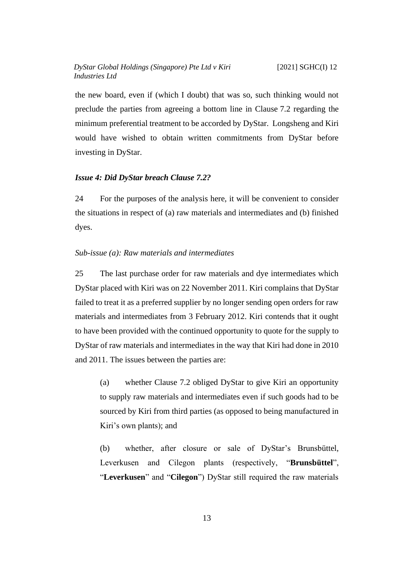the new board, even if (which I doubt) that was so, such thinking would not preclude the parties from agreeing a bottom line in Clause 7.2 regarding the minimum preferential treatment to be accorded by DyStar. Longsheng and Kiri would have wished to obtain written commitments from DyStar before investing in DyStar.

#### <span id="page-15-0"></span>*Issue 4: Did DyStar breach Clause 7.2?*

24 For the purposes of the analysis here, it will be convenient to consider the situations in respect of (a) raw materials and intermediates and (b) finished dyes.

#### <span id="page-15-1"></span>*Sub-issue (a): Raw materials and intermediates*

25 The last purchase order for raw materials and dye intermediates which DyStar placed with Kiri was on 22 November 2011. Kiri complains that DyStar failed to treat it as a preferred supplier by no longer sending open orders for raw materials and intermediates from 3 February 2012. Kiri contends that it ought to have been provided with the continued opportunity to quote for the supply to DyStar of raw materials and intermediates in the way that Kiri had done in 2010 and 2011. The issues between the parties are:

(a) whether Clause 7.2 obliged DyStar to give Kiri an opportunity to supply raw materials and intermediates even if such goods had to be sourced by Kiri from third parties (as opposed to being manufactured in Kiri's own plants); and

(b) whether, after closure or sale of DyStar's Brunsbüttel, Leverkusen and Cilegon plants (respectively, "**Brunsbüttel**", "**Leverkusen**" and "**Cilegon**") DyStar still required the raw materials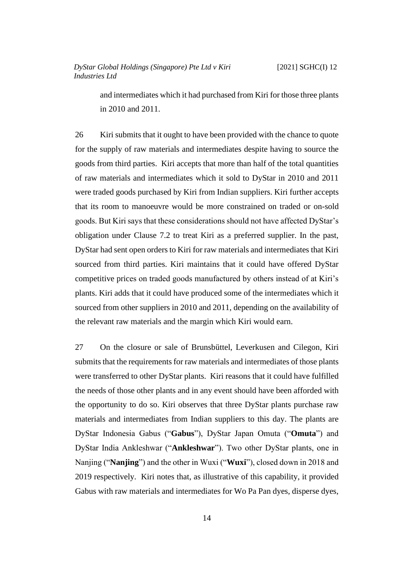and intermediates which it had purchased from Kiri for those three plants in 2010 and 2011.

26 Kiri submits that it ought to have been provided with the chance to quote for the supply of raw materials and intermediates despite having to source the goods from third parties. Kiri accepts that more than half of the total quantities of raw materials and intermediates which it sold to DyStar in 2010 and 2011 were traded goods purchased by Kiri from Indian suppliers. Kiri further accepts that its room to manoeuvre would be more constrained on traded or on-sold goods. But Kiri says that these considerations should not have affected DyStar's obligation under Clause 7.2 to treat Kiri as a preferred supplier. In the past, DyStar had sent open orders to Kiri for raw materials and intermediates that Kiri sourced from third parties. Kiri maintains that it could have offered DyStar competitive prices on traded goods manufactured by others instead of at Kiri's plants. Kiri adds that it could have produced some of the intermediates which it sourced from other suppliers in 2010 and 2011, depending on the availability of the relevant raw materials and the margin which Kiri would earn.

27 On the closure or sale of Brunsbüttel, Leverkusen and Cilegon, Kiri submits that the requirements for raw materials and intermediates of those plants were transferred to other DyStar plants. Kiri reasons that it could have fulfilled the needs of those other plants and in any event should have been afforded with the opportunity to do so. Kiri observes that three DyStar plants purchase raw materials and intermediates from Indian suppliers to this day. The plants are DyStar Indonesia Gabus ("**Gabus**"), DyStar Japan Omuta ("**Omuta**") and DyStar India Ankleshwar ("**Ankleshwar**"). Two other DyStar plants, one in Nanjing ("**Nanjing**") and the other in Wuxi ("**Wuxi**"), closed down in 2018 and 2019 respectively. Kiri notes that, as illustrative of this capability, it provided Gabus with raw materials and intermediates for Wo Pa Pan dyes, disperse dyes,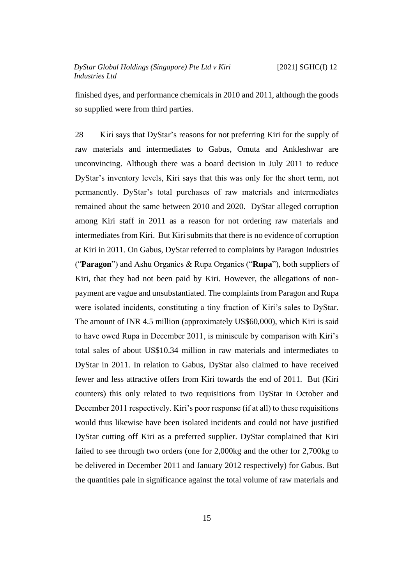finished dyes, and performance chemicals in 2010 and 2011, although the goods so supplied were from third parties.

<span id="page-17-0"></span>28 Kiri says that DyStar's reasons for not preferring Kiri for the supply of raw materials and intermediates to Gabus, Omuta and Ankleshwar are unconvincing. Although there was a board decision in July 2011 to reduce DyStar's inventory levels, Kiri says that this was only for the short term, not permanently. DyStar's total purchases of raw materials and intermediates remained about the same between 2010 and 2020. DyStar alleged corruption among Kiri staff in 2011 as a reason for not ordering raw materials and intermediates from Kiri. But Kiri submits that there is no evidence of corruption at Kiri in 2011. On Gabus, DyStar referred to complaints by Paragon Industries ("**Paragon**") and Ashu Organics & Rupa Organics ("**Rupa**"), both suppliers of Kiri, that they had not been paid by Kiri. However, the allegations of nonpayment are vague and unsubstantiated. The complaints from Paragon and Rupa were isolated incidents, constituting a tiny fraction of Kiri's sales to DyStar. The amount of INR 4.5 million (approximately US\$60,000), which Kiri is said to have owed Rupa in December 2011, is miniscule by comparison with Kiri's total sales of about US\$10.34 million in raw materials and intermediates to DyStar in 2011. In relation to Gabus, DyStar also claimed to have received fewer and less attractive offers from Kiri towards the end of 2011. But (Kiri counters) this only related to two requisitions from DyStar in October and December 2011 respectively. Kiri's poor response (if at all) to these requisitions would thus likewise have been isolated incidents and could not have justified DyStar cutting off Kiri as a preferred supplier. DyStar complained that Kiri failed to see through two orders (one for 2,000kg and the other for 2,700kg to be delivered in December 2011 and January 2012 respectively) for Gabus. But the quantities pale in significance against the total volume of raw materials and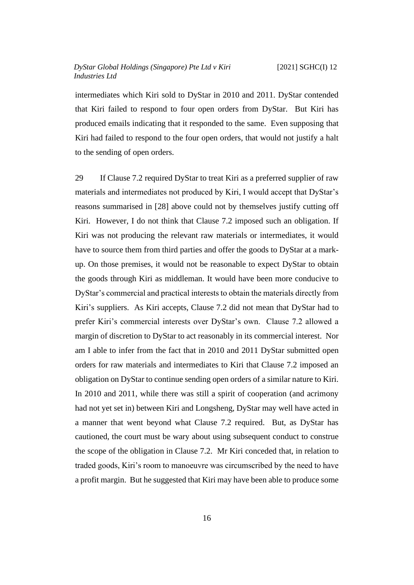intermediates which Kiri sold to DyStar in 2010 and 2011. DyStar contended that Kiri failed to respond to four open orders from DyStar. But Kiri has produced emails indicating that it responded to the same. Even supposing that Kiri had failed to respond to the four open orders, that would not justify a halt to the sending of open orders.

29 If Clause 7.2 required DyStar to treat Kiri as a preferred supplier of raw materials and intermediates not produced by Kiri, I would accept that DyStar's reasons summarised in [\[28\]](#page-17-0) above could not by themselves justify cutting off Kiri. However, I do not think that Clause 7.2 imposed such an obligation. If Kiri was not producing the relevant raw materials or intermediates, it would have to source them from third parties and offer the goods to DyStar at a markup. On those premises, it would not be reasonable to expect DyStar to obtain the goods through Kiri as middleman. It would have been more conducive to DyStar's commercial and practical interests to obtain the materials directly from Kiri's suppliers. As Kiri accepts, Clause 7.2 did not mean that DyStar had to prefer Kiri's commercial interests over DyStar's own. Clause 7.2 allowed a margin of discretion to DyStar to act reasonably in its commercial interest. Nor am I able to infer from the fact that in 2010 and 2011 DyStar submitted open orders for raw materials and intermediates to Kiri that Clause 7.2 imposed an obligation on DyStar to continue sending open orders of a similar nature to Kiri. In 2010 and 2011, while there was still a spirit of cooperation (and acrimony had not yet set in) between Kiri and Longsheng, DyStar may well have acted in a manner that went beyond what Clause 7.2 required. But, as DyStar has cautioned, the court must be wary about using subsequent conduct to construe the scope of the obligation in Clause 7.2. Mr Kiri conceded that, in relation to traded goods, Kiri's room to manoeuvre was circumscribed by the need to have a profit margin. But he suggested that Kiri may have been able to produce some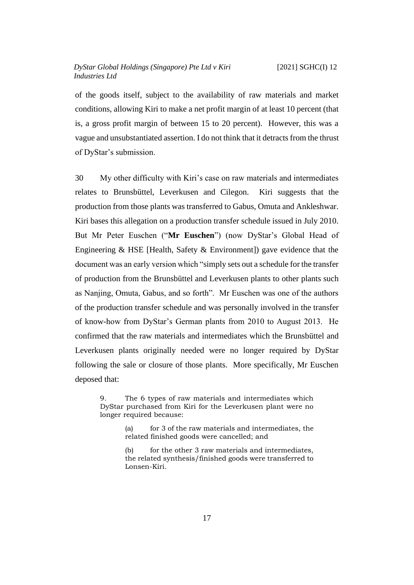of the goods itself, subject to the availability of raw materials and market conditions, allowing Kiri to make a net profit margin of at least 10 percent (that is, a gross profit margin of between 15 to 20 percent). However, this was a vague and unsubstantiated assertion. I do not think that it detracts from the thrust of DyStar's submission.

<span id="page-19-0"></span>30 My other difficulty with Kiri's case on raw materials and intermediates relates to Brunsbüttel, Leverkusen and Cilegon. Kiri suggests that the production from those plants was transferred to Gabus, Omuta and Ankleshwar. Kiri bases this allegation on a production transfer schedule issued in July 2010. But Mr Peter Euschen ("**Mr Euschen**") (now DyStar's Global Head of Engineering  $& HSE$  [Health, Safety  $& Environment$ ] gave evidence that the document was an early version which "simply sets out a schedule for the transfer of production from the Brunsbüttel and Leverkusen plants to other plants such as Nanjing, Omuta, Gabus, and so forth". Mr Euschen was one of the authors of the production transfer schedule and was personally involved in the transfer of know-how from DyStar's German plants from 2010 to August 2013. He confirmed that the raw materials and intermediates which the Brunsbüttel and Leverkusen plants originally needed were no longer required by DyStar following the sale or closure of those plants. More specifically, Mr Euschen deposed that:

9. The 6 types of raw materials and intermediates which DyStar purchased from Kiri for the Leverkusen plant were no longer required because:

> (a) for 3 of the raw materials and intermediates, the related finished goods were cancelled; and

> (b) for the other 3 raw materials and intermediates, the related synthesis/finished goods were transferred to Lonsen-Kiri.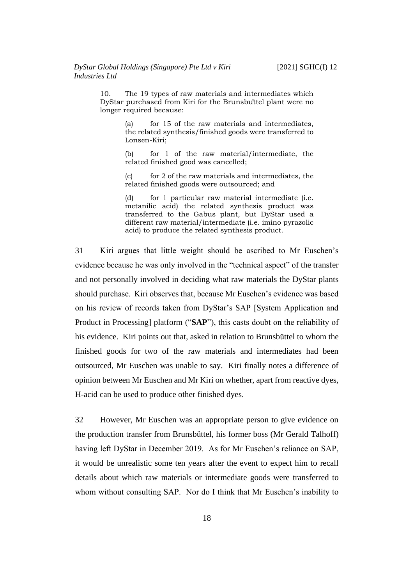10. The 19 types of raw materials and intermediates which DyStar purchased from Kiri for the Brunsbüttel plant were no longer required because:

> (a) for 15 of the raw materials and intermediates, the related synthesis/finished goods were transferred to Lonsen-Kiri;

> (b) for 1 of the raw material/intermediate, the related finished good was cancelled;

> $(c)$  for 2 of the raw materials and intermediates, the related finished goods were outsourced; and

> (d) for 1 particular raw material intermediate (i.e. metanilic acid) the related synthesis product was transferred to the Gabus plant, but DyStar used a different raw material/intermediate (i.e. imino pyrazolic acid) to produce the related synthesis product.

31 Kiri argues that little weight should be ascribed to Mr Euschen's evidence because he was only involved in the "technical aspect" of the transfer and not personally involved in deciding what raw materials the DyStar plants should purchase. Kiri observes that, because Mr Euschen's evidence was based on his review of records taken from DyStar's SAP [System Application and Product in Processing] platform ("**SAP**"), this casts doubt on the reliability of his evidence. Kiri points out that, asked in relation to Brunsbüttel to whom the finished goods for two of the raw materials and intermediates had been outsourced, Mr Euschen was unable to say. Kiri finally notes a difference of opinion between Mr Euschen and Mr Kiri on whether, apart from reactive dyes, H-acid can be used to produce other finished dyes.

32 However, Mr Euschen was an appropriate person to give evidence on the production transfer from Brunsbüttel, his former boss (Mr Gerald Talhoff) having left DyStar in December 2019. As for Mr Euschen's reliance on SAP, it would be unrealistic some ten years after the event to expect him to recall details about which raw materials or intermediate goods were transferred to whom without consulting SAP. Nor do I think that Mr Euschen's inability to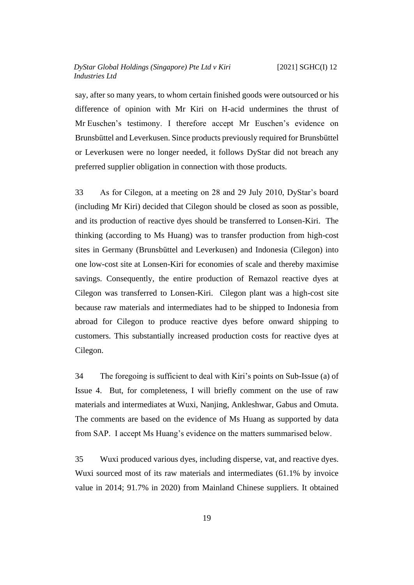say, after so many years, to whom certain finished goods were outsourced or his difference of opinion with Mr Kiri on H-acid undermines the thrust of Mr Euschen's testimony. I therefore accept Mr Euschen's evidence on Brunsbüttel and Leverkusen. Since products previously required for Brunsbüttel or Leverkusen were no longer needed, it follows DyStar did not breach any preferred supplier obligation in connection with those products.

<span id="page-21-0"></span>33 As for Cilegon, at a meeting on 28 and 29 July 2010, DyStar's board (including Mr Kiri) decided that Cilegon should be closed as soon as possible, and its production of reactive dyes should be transferred to Lonsen-Kiri. The thinking (according to Ms Huang) was to transfer production from high-cost sites in Germany (Brunsbüttel and Leverkusen) and Indonesia (Cilegon) into one low-cost site at Lonsen-Kiri for economies of scale and thereby maximise savings. Consequently, the entire production of Remazol reactive dyes at Cilegon was transferred to Lonsen-Kiri. Cilegon plant was a high-cost site because raw materials and intermediates had to be shipped to Indonesia from abroad for Cilegon to produce reactive dyes before onward shipping to customers. This substantially increased production costs for reactive dyes at Cilegon.

34 The foregoing is sufficient to deal with Kiri's points on Sub-Issue (a) of Issue 4. But, for completeness, I will briefly comment on the use of raw materials and intermediates at Wuxi, Nanjing, Ankleshwar, Gabus and Omuta. The comments are based on the evidence of Ms Huang as supported by data from SAP. I accept Ms Huang's evidence on the matters summarised below.

<span id="page-21-1"></span>35 Wuxi produced various dyes, including disperse, vat, and reactive dyes. Wuxi sourced most of its raw materials and intermediates (61.1% by invoice value in 2014; 91.7% in 2020) from Mainland Chinese suppliers. It obtained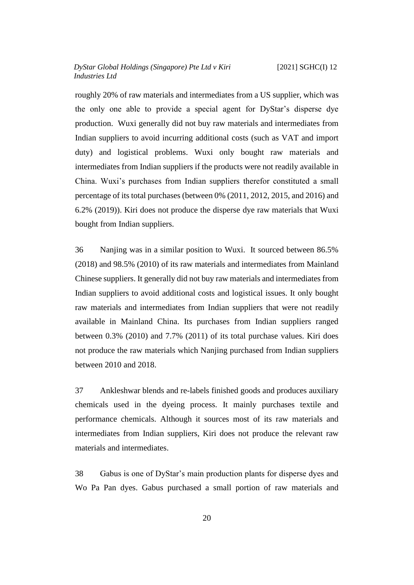roughly 20% of raw materials and intermediates from a US supplier, which was the only one able to provide a special agent for DyStar's disperse dye production. Wuxi generally did not buy raw materials and intermediates from Indian suppliers to avoid incurring additional costs (such as VAT and import duty) and logistical problems. Wuxi only bought raw materials and intermediates from Indian suppliers if the products were not readily available in China. Wuxi's purchases from Indian suppliers therefor constituted a small percentage of its total purchases (between 0% (2011, 2012, 2015, and 2016) and 6.2% (2019)). Kiri does not produce the disperse dye raw materials that Wuxi bought from Indian suppliers.

36 Nanjing was in a similar position to Wuxi. It sourced between 86.5% (2018) and 98.5% (2010) of its raw materials and intermediates from Mainland Chinese suppliers. It generally did not buy raw materials and intermediates from Indian suppliers to avoid additional costs and logistical issues. It only bought raw materials and intermediates from Indian suppliers that were not readily available in Mainland China. Its purchases from Indian suppliers ranged between 0.3% (2010) and 7.7% (2011) of its total purchase values. Kiri does not produce the raw materials which Nanjing purchased from Indian suppliers between 2010 and 2018.

37 Ankleshwar blends and re-labels finished goods and produces auxiliary chemicals used in the dyeing process. It mainly purchases textile and performance chemicals. Although it sources most of its raw materials and intermediates from Indian suppliers, Kiri does not produce the relevant raw materials and intermediates.

38 Gabus is one of DyStar's main production plants for disperse dyes and Wo Pa Pan dyes. Gabus purchased a small portion of raw materials and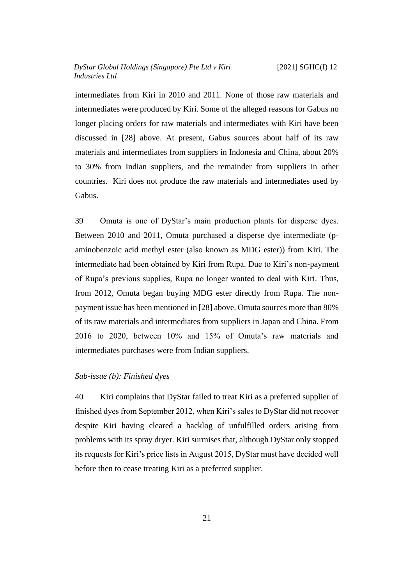intermediates from Kiri in 2010 and 2011. None of those raw materials and intermediates were produced by Kiri. Some of the alleged reasons for Gabus no longer placing orders for raw materials and intermediates with Kiri have been discussed in [\[28\]](#page-17-0) above. At present, Gabus sources about half of its raw materials and intermediates from suppliers in Indonesia and China, about 20% to 30% from Indian suppliers, and the remainder from suppliers in other countries. Kiri does not produce the raw materials and intermediates used by Gabus.

<span id="page-23-1"></span>39 Omuta is one of DyStar's main production plants for disperse dyes. Between 2010 and 2011, Omuta purchased a disperse dye intermediate (paminobenzoic acid methyl ester (also known as MDG ester)) from Kiri. The intermediate had been obtained by Kiri from Rupa. Due to Kiri's non-payment of Rupa's previous supplies, Rupa no longer wanted to deal with Kiri. Thus, from 2012, Omuta began buying MDG ester directly from Rupa. The nonpayment issue has been mentioned in [\[28\]](#page-17-0) above. Omuta sources more than 80% of its raw materials and intermediates from suppliers in Japan and China. From 2016 to 2020, between 10% and 15% of Omuta's raw materials and intermediates purchases were from Indian suppliers.

## <span id="page-23-0"></span>*Sub-issue (b): Finished dyes*

40 Kiri complains that DyStar failed to treat Kiri as a preferred supplier of finished dyes from September 2012, when Kiri's sales to DyStar did not recover despite Kiri having cleared a backlog of unfulfilled orders arising from problems with its spray dryer. Kiri surmises that, although DyStar only stopped its requests for Kiri's price lists in August 2015, DyStar must have decided well before then to cease treating Kiri as a preferred supplier.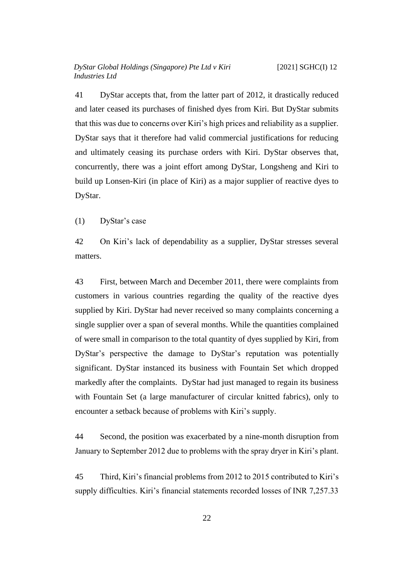41 DyStar accepts that, from the latter part of 2012, it drastically reduced and later ceased its purchases of finished dyes from Kiri. But DyStar submits that this was due to concerns over Kiri's high prices and reliability as a supplier. DyStar says that it therefore had valid commercial justifications for reducing and ultimately ceasing its purchase orders with Kiri. DyStar observes that, concurrently, there was a joint effort among DyStar, Longsheng and Kiri to build up Lonsen-Kiri (in place of Kiri) as a major supplier of reactive dyes to DyStar.

<span id="page-24-0"></span>(1) DyStar's case

42 On Kiri's lack of dependability as a supplier, DyStar stresses several matters.

43 First, between March and December 2011, there were complaints from customers in various countries regarding the quality of the reactive dyes supplied by Kiri. DyStar had never received so many complaints concerning a single supplier over a span of several months. While the quantities complained of were small in comparison to the total quantity of dyes supplied by Kiri, from DyStar's perspective the damage to DyStar's reputation was potentially significant. DyStar instanced its business with Fountain Set which dropped markedly after the complaints. DyStar had just managed to regain its business with Fountain Set (a large manufacturer of circular knitted fabrics), only to encounter a setback because of problems with Kiri's supply.

44 Second, the position was exacerbated by a nine-month disruption from January to September 2012 due to problems with the spray dryer in Kiri's plant.

<span id="page-24-1"></span>45 Third, Kiri's financial problems from 2012 to 2015 contributed to Kiri's supply difficulties. Kiri's financial statements recorded losses of INR 7,257.33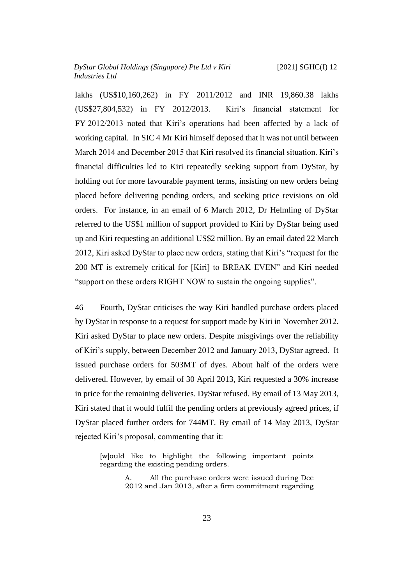lakhs (US\$10,160,262) in FY 2011/2012 and INR 19,860.38 lakhs (US\$27,804,532) in FY 2012/2013. Kiri's financial statement for FY 2012/2013 noted that Kiri's operations had been affected by a lack of working capital. In SIC 4 Mr Kiri himself deposed that it was not until between March 2014 and December 2015 that Kiri resolved its financial situation. Kiri's financial difficulties led to Kiri repeatedly seeking support from DyStar, by holding out for more favourable payment terms, insisting on new orders being placed before delivering pending orders, and seeking price revisions on old orders. For instance, in an email of 6 March 2012, Dr Helmling of DyStar referred to the US\$1 million of support provided to Kiri by DyStar being used up and Kiri requesting an additional US\$2 million. By an email dated 22 March 2012, Kiri asked DyStar to place new orders, stating that Kiri's "request for the 200 MT is extremely critical for [Kiri] to BREAK EVEN" and Kiri needed "support on these orders RIGHT NOW to sustain the ongoing supplies".

46 Fourth, DyStar criticises the way Kiri handled purchase orders placed by DyStar in response to a request for support made by Kiri in November 2012. Kiri asked DyStar to place new orders. Despite misgivings over the reliability of Kiri's supply, between December 2012 and January 2013, DyStar agreed. It issued purchase orders for 503MT of dyes. About half of the orders were delivered. However, by email of 30 April 2013, Kiri requested a 30% increase in price for the remaining deliveries. DyStar refused. By email of 13 May 2013, Kiri stated that it would fulfil the pending orders at previously agreed prices, if DyStar placed further orders for 744MT. By email of 14 May 2013, DyStar rejected Kiri's proposal, commenting that it:

[w]ould like to highlight the following important points regarding the existing pending orders.

> All the purchase orders were issued during Dec 2012 and Jan 2013, after a firm commitment regarding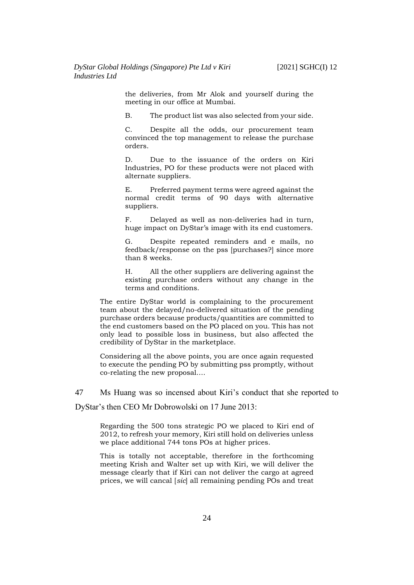the deliveries, from Mr Alok and yourself during the meeting in our office at Mumbai.

B. The product list was also selected from your side.

C. Despite all the odds, our procurement team convinced the top management to release the purchase orders.

D. Due to the issuance of the orders on Kiri Industries, PO for these products were not placed with alternate suppliers.

E. Preferred payment terms were agreed against the normal credit terms of 90 days with alternative suppliers.

F. Delayed as well as non-deliveries had in turn, huge impact on DyStar's image with its end customers.

G. Despite repeated reminders and e mails, no feedback/response on the pss [purchases?] since more than 8 weeks.

H. All the other suppliers are delivering against the existing purchase orders without any change in the terms and conditions.

The entire DyStar world is complaining to the procurement team about the delayed/no-delivered situation of the pending purchase orders because products/quantities are committed to the end customers based on the PO placed on you. This has not only lead to possible loss in business, but also affected the credibility of DyStar in the marketplace.

Considering all the above points, you are once again requested to execute the pending PO by submitting pss promptly, without co-relating the new proposal….

<span id="page-26-0"></span>47 Ms Huang was so incensed about Kiri's conduct that she reported to

DyStar's then CEO Mr Dobrowolski on 17 June 2013:

Regarding the 500 tons strategic PO we placed to Kiri end of 2012, to refresh your memory, Kiri still hold on deliveries unless we place additional 744 tons POs at higher prices.

This is totally not acceptable, therefore in the forthcoming meeting Krish and Walter set up with Kiri, we will deliver the message clearly that if Kiri can not deliver the cargo at agreed prices, we will cancal [*sic*] all remaining pending POs and treat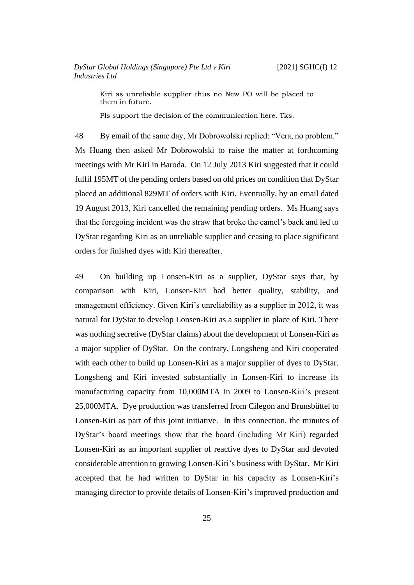Kiri as unreliable supplier thus no New PO will be placed to them in future.

Pls support the decision of the communication here. Tks.

48 By email of the same day, Mr Dobrowolski replied: "Vera, no problem." Ms Huang then asked Mr Dobrowolski to raise the matter at forthcoming meetings with Mr Kiri in Baroda. On 12 July 2013 Kiri suggested that it could fulfil 195MT of the pending orders based on old prices on condition that DyStar placed an additional 829MT of orders with Kiri. Eventually, by an email dated 19 August 2013, Kiri cancelled the remaining pending orders. Ms Huang says that the foregoing incident was the straw that broke the camel's back and led to DyStar regarding Kiri as an unreliable supplier and ceasing to place significant orders for finished dyes with Kiri thereafter.

49 On building up Lonsen-Kiri as a supplier, DyStar says that, by comparison with Kiri, Lonsen-Kiri had better quality, stability, and management efficiency. Given Kiri's unreliability as a supplier in 2012, it was natural for DyStar to develop Lonsen-Kiri as a supplier in place of Kiri. There was nothing secretive (DyStar claims) about the development of Lonsen-Kiri as a major supplier of DyStar. On the contrary, Longsheng and Kiri cooperated with each other to build up Lonsen-Kiri as a major supplier of dyes to DyStar. Longsheng and Kiri invested substantially in Lonsen-Kiri to increase its manufacturing capacity from 10,000MTA in 2009 to Lonsen-Kiri's present 25,000MTA. Dye production was transferred from Cilegon and Brunsbüttel to Lonsen-Kiri as part of this joint initiative. In this connection, the minutes of DyStar's board meetings show that the board (including Mr Kiri) regarded Lonsen-Kiri as an important supplier of reactive dyes to DyStar and devoted considerable attention to growing Lonsen-Kiri's business with DyStar. Mr Kiri accepted that he had written to DyStar in his capacity as Lonsen-Kiri's managing director to provide details of Lonsen-Kiri's improved production and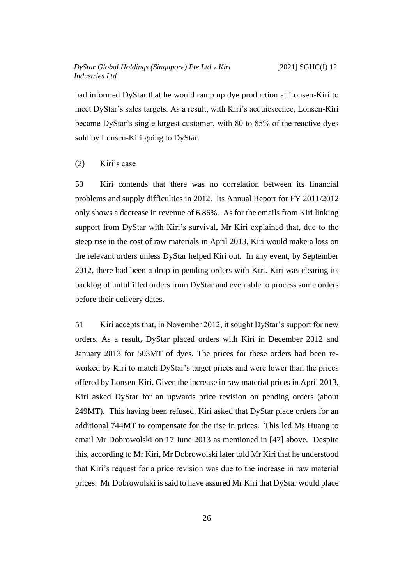had informed DyStar that he would ramp up dye production at Lonsen-Kiri to meet DyStar's sales targets. As a result, with Kiri's acquiescence, Lonsen-Kiri became DyStar's single largest customer, with 80 to 85% of the reactive dyes sold by Lonsen-Kiri going to DyStar.

#### <span id="page-28-0"></span>(2) Kiri's case

50 Kiri contends that there was no correlation between its financial problems and supply difficulties in 2012. Its Annual Report for FY 2011/2012 only shows a decrease in revenue of 6.86%. As for the emails from Kiri linking support from DyStar with Kiri's survival, Mr Kiri explained that, due to the steep rise in the cost of raw materials in April 2013, Kiri would make a loss on the relevant orders unless DyStar helped Kiri out. In any event, by September 2012, there had been a drop in pending orders with Kiri. Kiri was clearing its backlog of unfulfilled orders from DyStar and even able to process some orders before their delivery dates.

<span id="page-28-1"></span>51 Kiri accepts that, in November 2012, it sought DyStar's support for new orders. As a result, DyStar placed orders with Kiri in December 2012 and January 2013 for 503MT of dyes. The prices for these orders had been reworked by Kiri to match DyStar's target prices and were lower than the prices offered by Lonsen-Kiri. Given the increase in raw material prices in April 2013, Kiri asked DyStar for an upwards price revision on pending orders (about 249MT). This having been refused, Kiri asked that DyStar place orders for an additional 744MT to compensate for the rise in prices. This led Ms Huang to email Mr Dobrowolski on 17 June 2013 as mentioned in [\[47\]](#page-26-0) above. Despite this, according to Mr Kiri, Mr Dobrowolski later told Mr Kiri that he understood that Kiri's request for a price revision was due to the increase in raw material prices. Mr Dobrowolski is said to have assured Mr Kiri that DyStar would place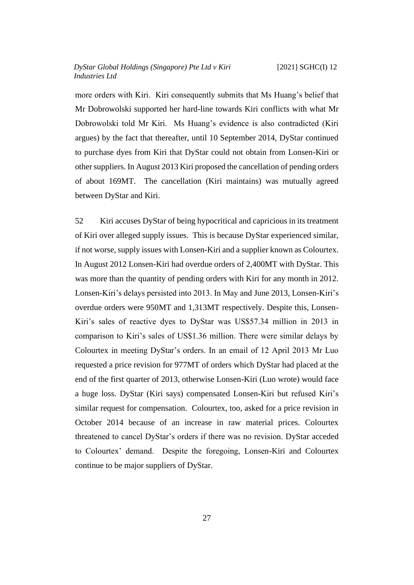more orders with Kiri. Kiri consequently submits that Ms Huang's belief that Mr Dobrowolski supported her hard-line towards Kiri conflicts with what Mr Dobrowolski told Mr Kiri. Ms Huang's evidence is also contradicted (Kiri argues) by the fact that thereafter, until 10 September 2014, DyStar continued to purchase dyes from Kiri that DyStar could not obtain from Lonsen-Kiri or other suppliers. In August 2013 Kiri proposed the cancellation of pending orders of about 169MT. The cancellation (Kiri maintains) was mutually agreed between DyStar and Kiri.

52 Kiri accuses DyStar of being hypocritical and capricious in its treatment of Kiri over alleged supply issues. This is because DyStar experienced similar, if not worse, supply issues with Lonsen-Kiri and a supplier known as Colourtex. In August 2012 Lonsen-Kiri had overdue orders of 2,400MT with DyStar. This was more than the quantity of pending orders with Kiri for any month in 2012. Lonsen-Kiri's delays persisted into 2013. In May and June 2013, Lonsen-Kiri's overdue orders were 950MT and 1,313MT respectively. Despite this, Lonsen-Kiri's sales of reactive dyes to DyStar was US\$57.34 million in 2013 in comparison to Kiri's sales of US\$1.36 million. There were similar delays by Colourtex in meeting DyStar's orders. In an email of 12 April 2013 Mr Luo requested a price revision for 977MT of orders which DyStar had placed at the end of the first quarter of 2013, otherwise Lonsen-Kiri (Luo wrote) would face a huge loss. DyStar (Kiri says) compensated Lonsen-Kiri but refused Kiri's similar request for compensation. Colourtex, too, asked for a price revision in October 2014 because of an increase in raw material prices. Colourtex threatened to cancel DyStar's orders if there was no revision. DyStar acceded to Colourtex' demand. Despite the foregoing, Lonsen-Kiri and Colourtex continue to be major suppliers of DyStar.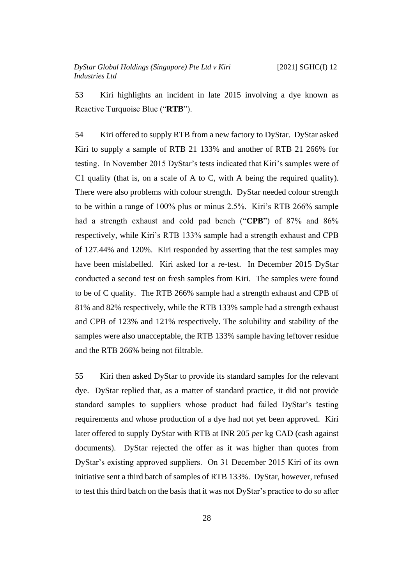53 Kiri highlights an incident in late 2015 involving a dye known as Reactive Turquoise Blue ("**RTB**").

54 Kiri offered to supply RTB from a new factory to DyStar. DyStar asked Kiri to supply a sample of RTB 21 133% and another of RTB 21 266% for testing. In November 2015 DyStar's tests indicated that Kiri's samples were of C1 quality (that is, on a scale of A to C, with A being the required quality). There were also problems with colour strength. DyStar needed colour strength to be within a range of 100% plus or minus 2.5%. Kiri's RTB 266% sample had a strength exhaust and cold pad bench ("**CPB**") of 87% and 86% respectively, while Kiri's RTB 133% sample had a strength exhaust and CPB of 127.44% and 120%. Kiri responded by asserting that the test samples may have been mislabelled. Kiri asked for a re-test. In December 2015 DyStar conducted a second test on fresh samples from Kiri. The samples were found to be of C quality. The RTB 266% sample had a strength exhaust and CPB of 81% and 82% respectively, while the RTB 133% sample had a strength exhaust and CPB of 123% and 121% respectively. The solubility and stability of the samples were also unacceptable, the RTB 133% sample having leftover residue and the RTB 266% being not filtrable.

55 Kiri then asked DyStar to provide its standard samples for the relevant dye. DyStar replied that, as a matter of standard practice, it did not provide standard samples to suppliers whose product had failed DyStar's testing requirements and whose production of a dye had not yet been approved. Kiri later offered to supply DyStar with RTB at INR 205 *per* kg CAD (cash against documents). DyStar rejected the offer as it was higher than quotes from DyStar's existing approved suppliers. On 31 December 2015 Kiri of its own initiative sent a third batch of samples of RTB 133%. DyStar, however, refused to test this third batch on the basis that it was not DyStar's practice to do so after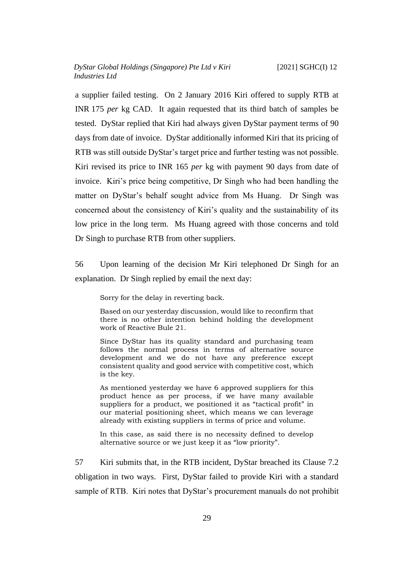a supplier failed testing. On 2 January 2016 Kiri offered to supply RTB at INR 175 *per* kg CAD. It again requested that its third batch of samples be tested. DyStar replied that Kiri had always given DyStar payment terms of 90 days from date of invoice. DyStar additionally informed Kiri that its pricing of RTB was still outside DyStar's target price and further testing was not possible. Kiri revised its price to INR 165 *per* kg with payment 90 days from date of invoice. Kiri's price being competitive, Dr Singh who had been handling the matter on DyStar's behalf sought advice from Ms Huang. Dr Singh was concerned about the consistency of Kiri's quality and the sustainability of its low price in the long term. Ms Huang agreed with those concerns and told Dr Singh to purchase RTB from other suppliers.

56 Upon learning of the decision Mr Kiri telephoned Dr Singh for an explanation. Dr Singh replied by email the next day:

Sorry for the delay in reverting back.

Based on our yesterday discussion, would like to reconfirm that there is no other intention behind holding the development work of Reactive Bule 21.

Since DyStar has its quality standard and purchasing team follows the normal process in terms of alternative source development and we do not have any preference except consistent quality and good service with competitive cost, which is the key.

As mentioned yesterday we have 6 approved suppliers for this product hence as per process, if we have many available suppliers for a product, we positioned it as "tactical profit" in our material positioning sheet, which means we can leverage already with existing suppliers in terms of price and volume.

In this case, as said there is no necessity defined to develop alternative source or we just keep it as "low priority".

57 Kiri submits that, in the RTB incident, DyStar breached its Clause 7.2 obligation in two ways. First, DyStar failed to provide Kiri with a standard sample of RTB. Kiri notes that DyStar's procurement manuals do not prohibit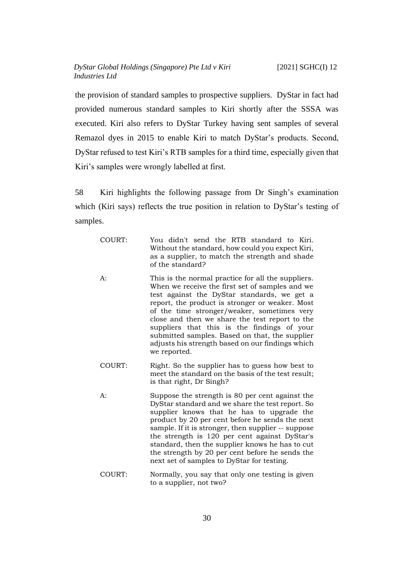the provision of standard samples to prospective suppliers. DyStar in fact had provided numerous standard samples to Kiri shortly after the SSSA was executed. Kiri also refers to DyStar Turkey having sent samples of several Remazol dyes in 2015 to enable Kiri to match DyStar's products. Second, DyStar refused to test Kiri's RTB samples for a third time, especially given that Kiri's samples were wrongly labelled at first.

58 Kiri highlights the following passage from Dr Singh's examination which (Kiri says) reflects the true position in relation to DyStar's testing of samples.

| COURT: | You didn't send the RTB standard to Kiri.<br>Without the standard, how could you expect Kiri,<br>as a supplier, to match the strength and shade<br>of the standard?                                                                                                                                                                                                                                                                                                           |
|--------|-------------------------------------------------------------------------------------------------------------------------------------------------------------------------------------------------------------------------------------------------------------------------------------------------------------------------------------------------------------------------------------------------------------------------------------------------------------------------------|
| A:     | This is the normal practice for all the suppliers.<br>When we receive the first set of samples and we<br>test against the DyStar standards, we get a<br>report, the product is stronger or weaker. Most<br>of the time stronger/weaker, sometimes very<br>close and then we share the test report to the<br>suppliers that this is the findings of your<br>submitted samples. Based on that, the supplier<br>adjusts his strength based on our findings which<br>we reported. |
| COURT: | Right. So the supplier has to guess how best to<br>meet the standard on the basis of the test result;<br>is that right, Dr Singh?                                                                                                                                                                                                                                                                                                                                             |
| A:     | Suppose the strength is 80 per cent against the<br>DyStar standard and we share the test report. So<br>supplier knows that he has to upgrade the<br>product by 20 per cent before he sends the next<br>sample. If it is stronger, then supplier -- suppose<br>the strength is 120 per cent against DyStar's<br>standard, then the supplier knows he has to cut<br>the strength by 20 per cent before he sends the<br>next set of samples to DyStar for testing.               |

COURT: Normally, you say that only one testing is given to a supplier, not two?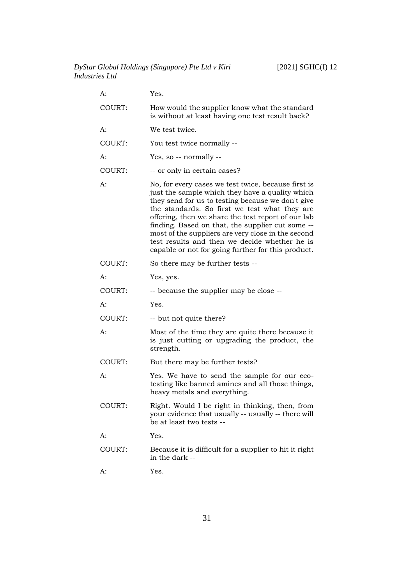| A:     | Yes.                                                                                                                                                                                                                                                                                                                                                                                                                                                                                |
|--------|-------------------------------------------------------------------------------------------------------------------------------------------------------------------------------------------------------------------------------------------------------------------------------------------------------------------------------------------------------------------------------------------------------------------------------------------------------------------------------------|
| COURT: | How would the supplier know what the standard<br>is without at least having one test result back?                                                                                                                                                                                                                                                                                                                                                                                   |
| A:     | We test twice.                                                                                                                                                                                                                                                                                                                                                                                                                                                                      |
| COURT: | You test twice normally --                                                                                                                                                                                                                                                                                                                                                                                                                                                          |
| A:     | Yes, so -- normally --                                                                                                                                                                                                                                                                                                                                                                                                                                                              |
| COURT: | -- or only in certain cases?                                                                                                                                                                                                                                                                                                                                                                                                                                                        |
| A:     | No, for every cases we test twice, because first is<br>just the sample which they have a quality which<br>they send for us to testing because we don't give<br>the standards. So first we test what they are<br>offering, then we share the test report of our lab<br>finding. Based on that, the supplier cut some --<br>most of the suppliers are very close in the second<br>test results and then we decide whether he is<br>capable or not for going further for this product. |
| COURT: | So there may be further tests --                                                                                                                                                                                                                                                                                                                                                                                                                                                    |
| A:     | Yes, yes.                                                                                                                                                                                                                                                                                                                                                                                                                                                                           |
| COURT: | -- because the supplier may be close --                                                                                                                                                                                                                                                                                                                                                                                                                                             |
| A:     | Yes.                                                                                                                                                                                                                                                                                                                                                                                                                                                                                |
| COURT: | -- but not quite there?                                                                                                                                                                                                                                                                                                                                                                                                                                                             |
| A:     | Most of the time they are quite there because it<br>is just cutting or upgrading the product, the<br>strength.                                                                                                                                                                                                                                                                                                                                                                      |
| COURT: | But there may be further tests?                                                                                                                                                                                                                                                                                                                                                                                                                                                     |
| A:     | Yes. We have to send the sample for our eco-<br>testing like banned amines and all those things,<br>heavy metals and everything.                                                                                                                                                                                                                                                                                                                                                    |
| COURT: | Right. Would I be right in thinking, then, from<br>your evidence that usually -- usually -- there will<br>be at least two tests --                                                                                                                                                                                                                                                                                                                                                  |
| A:     | Yes.                                                                                                                                                                                                                                                                                                                                                                                                                                                                                |
| COURT: | Because it is difficult for a supplier to hit it right<br>in the dark --                                                                                                                                                                                                                                                                                                                                                                                                            |
| А:     | Yes.                                                                                                                                                                                                                                                                                                                                                                                                                                                                                |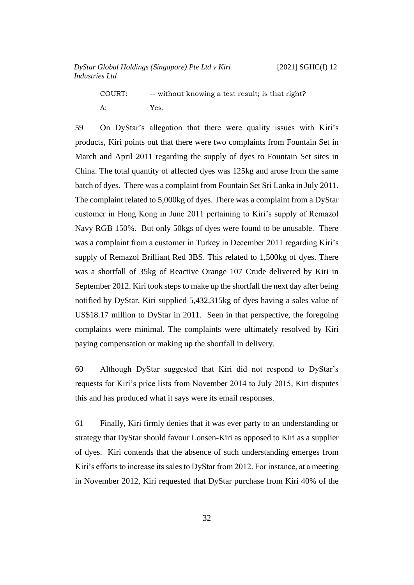COURT: -- without knowing a test result; is that right?

A: Yes.

59 On DyStar's allegation that there were quality issues with Kiri's products, Kiri points out that there were two complaints from Fountain Set in March and April 2011 regarding the supply of dyes to Fountain Set sites in China. The total quantity of affected dyes was 125kg and arose from the same batch of dyes. There was a complaint from Fountain Set Sri Lanka in July 2011. The complaint related to 5,000kg of dyes. There was a complaint from a DyStar customer in Hong Kong in June 2011 pertaining to Kiri's supply of Remazol Navy RGB 150%. But only 50kgs of dyes were found to be unusable. There was a complaint from a customer in Turkey in December 2011 regarding Kiri's supply of Remazol Brilliant Red 3BS. This related to 1,500kg of dyes. There was a shortfall of 35kg of Reactive Orange 107 Crude delivered by Kiri in September 2012. Kiri took steps to make up the shortfall the next day after being notified by DyStar. Kiri supplied 5,432,315kg of dyes having a sales value of US\$18.17 million to DyStar in 2011. Seen in that perspective, the foregoing complaints were minimal. The complaints were ultimately resolved by Kiri paying compensation or making up the shortfall in delivery.

60 Although DyStar suggested that Kiri did not respond to DyStar's requests for Kiri's price lists from November 2014 to July 2015, Kiri disputes this and has produced what it says were its email responses.

61 Finally, Kiri firmly denies that it was ever party to an understanding or strategy that DyStar should favour Lonsen-Kiri as opposed to Kiri as a supplier of dyes. Kiri contends that the absence of such understanding emerges from Kiri's efforts to increase its sales to DyStar from 2012. For instance, at a meeting in November 2012, Kiri requested that DyStar purchase from Kiri 40% of the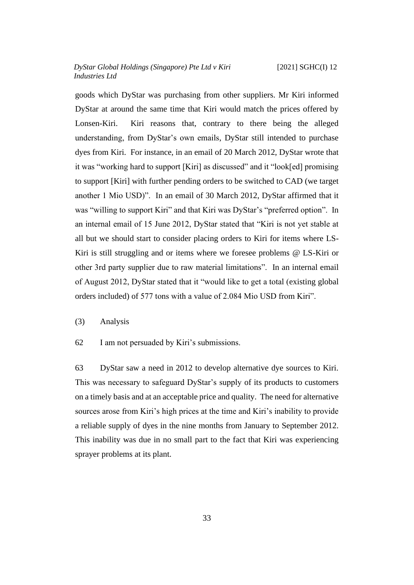goods which DyStar was purchasing from other suppliers. Mr Kiri informed DyStar at around the same time that Kiri would match the prices offered by Lonsen-Kiri. Kiri reasons that, contrary to there being the alleged understanding, from DyStar's own emails, DyStar still intended to purchase dyes from Kiri. For instance, in an email of 20 March 2012, DyStar wrote that it was "working hard to support [Kiri] as discussed" and it "look[ed] promising to support [Kiri] with further pending orders to be switched to CAD (we target another 1 Mio USD)". In an email of 30 March 2012, DyStar affirmed that it was "willing to support Kiri" and that Kiri was DyStar's "preferred option". In an internal email of 15 June 2012, DyStar stated that "Kiri is not yet stable at all but we should start to consider placing orders to Kiri for items where LS-Kiri is still struggling and or items where we foresee problems @ LS-Kiri or other 3rd party supplier due to raw material limitations". In an internal email of August 2012, DyStar stated that it "would like to get a total (existing global orders included) of 577 tons with a value of 2.084 Mio USD from Kiri".

<span id="page-35-0"></span>(3) Analysis

62 I am not persuaded by Kiri's submissions.

63 DyStar saw a need in 2012 to develop alternative dye sources to Kiri. This was necessary to safeguard DyStar's supply of its products to customers on a timely basis and at an acceptable price and quality. The need for alternative sources arose from Kiri's high prices at the time and Kiri's inability to provide a reliable supply of dyes in the nine months from January to September 2012. This inability was due in no small part to the fact that Kiri was experiencing sprayer problems at its plant.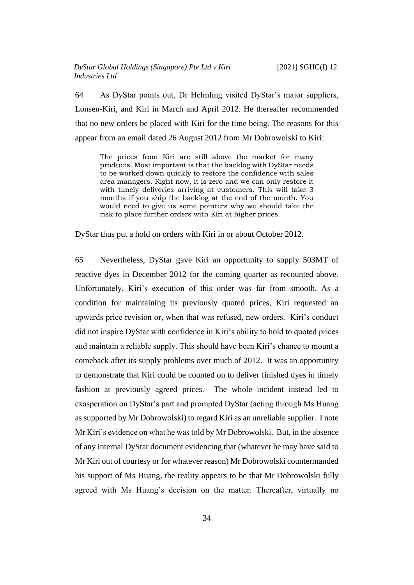64 As DyStar points out, Dr Helmling visited DyStar's major suppliers, Lonsen-Kiri, and Kiri in March and April 2012. He thereafter recommended that no new orders be placed with Kiri for the time being. The reasons for this appear from an email dated 26 August 2012 from Mr Dobrowolski to Kiri:

The prices from Kiri are still above the market for many products. Most important is that the backlog with DyStar needs to be worked down quickly to restore the confidence with sales area managers. Right now, it is zero and we can only restore it with timely deliveries arriving at customers. This will take 3 months if you ship the backlog at the end of the month. You would need to give us some pointers why we should take the risk to place further orders with Kiri at higher prices.

DyStar thus put a hold on orders with Kiri in or about October 2012.

<span id="page-36-0"></span>65 Nevertheless, DyStar gave Kiri an opportunity to supply 503MT of reactive dyes in December 2012 for the coming quarter as recounted above. Unfortunately, Kiri's execution of this order was far from smooth. As a condition for maintaining its previously quoted prices, Kiri requested an upwards price revision or, when that was refused, new orders. Kiri's conduct did not inspire DyStar with confidence in Kiri's ability to hold to quoted prices and maintain a reliable supply. This should have been Kiri's chance to mount a comeback after its supply problems over much of 2012. It was an opportunity to demonstrate that Kiri could be counted on to deliver finished dyes in timely fashion at previously agreed prices. The whole incident instead led to exasperation on DyStar's part and prompted DyStar (acting through Ms Huang as supported by Mr Dobrowolski) to regard Kiri as an unreliable supplier. I note Mr Kiri's evidence on what he was told by Mr Dobrowolski. But, in the absence of any internal DyStar document evidencing that (whatever he may have said to Mr Kiri out of courtesy or for whatever reason) Mr Dobrowolski countermanded his support of Ms Huang, the reality appears to be that Mr Dobrowolski fully agreed with Ms Huang's decision on the matter. Thereafter, virtually no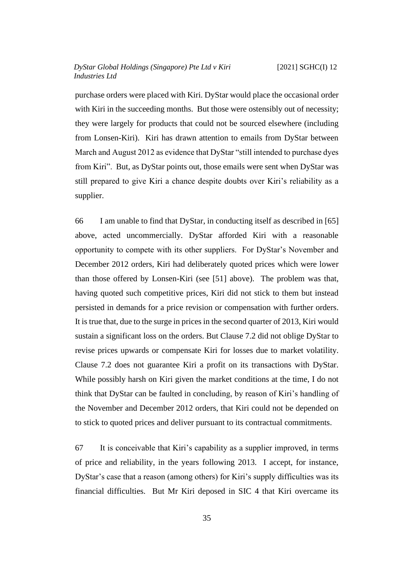purchase orders were placed with Kiri. DyStar would place the occasional order with Kiri in the succeeding months. But those were ostensibly out of necessity; they were largely for products that could not be sourced elsewhere (including from Lonsen-Kiri). Kiri has drawn attention to emails from DyStar between March and August 2012 as evidence that DyStar "still intended to purchase dyes from Kiri". But, as DyStar points out, those emails were sent when DyStar was still prepared to give Kiri a chance despite doubts over Kiri's reliability as a supplier.

66 I am unable to find that DyStar, in conducting itself as described in [\[65\]](#page-36-0) above, acted uncommercially. DyStar afforded Kiri with a reasonable opportunity to compete with its other suppliers. For DyStar's November and December 2012 orders, Kiri had deliberately quoted prices which were lower than those offered by Lonsen-Kiri (see [\[51\]](#page-28-1) above). The problem was that, having quoted such competitive prices, Kiri did not stick to them but instead persisted in demands for a price revision or compensation with further orders. It is true that, due to the surge in prices in the second quarter of 2013, Kiri would sustain a significant loss on the orders. But Clause 7.2 did not oblige DyStar to revise prices upwards or compensate Kiri for losses due to market volatility. Clause 7.2 does not guarantee Kiri a profit on its transactions with DyStar. While possibly harsh on Kiri given the market conditions at the time, I do not think that DyStar can be faulted in concluding, by reason of Kiri's handling of the November and December 2012 orders, that Kiri could not be depended on to stick to quoted prices and deliver pursuant to its contractual commitments.

67 It is conceivable that Kiri's capability as a supplier improved, in terms of price and reliability, in the years following 2013. I accept, for instance, DyStar's case that a reason (among others) for Kiri's supply difficulties was its financial difficulties. But Mr Kiri deposed in SIC 4 that Kiri overcame its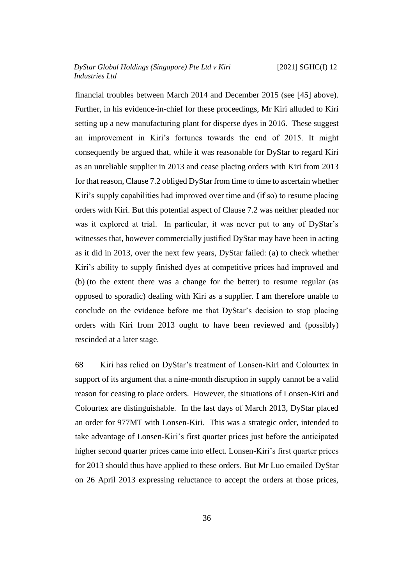financial troubles between March 2014 and December 2015 (see [\[45\]](#page-24-1) above). Further, in his evidence-in-chief for these proceedings, Mr Kiri alluded to Kiri setting up a new manufacturing plant for disperse dyes in 2016. These suggest an improvement in Kiri's fortunes towards the end of 2015. It might consequently be argued that, while it was reasonable for DyStar to regard Kiri as an unreliable supplier in 2013 and cease placing orders with Kiri from 2013 for that reason, Clause 7.2 obliged DyStar from time to time to ascertain whether Kiri's supply capabilities had improved over time and (if so) to resume placing orders with Kiri. But this potential aspect of Clause 7.2 was neither pleaded nor was it explored at trial. In particular, it was never put to any of DyStar's witnesses that, however commercially justified DyStar may have been in acting as it did in 2013, over the next few years, DyStar failed: (a) to check whether Kiri's ability to supply finished dyes at competitive prices had improved and (b) (to the extent there was a change for the better) to resume regular (as opposed to sporadic) dealing with Kiri as a supplier. I am therefore unable to conclude on the evidence before me that DyStar's decision to stop placing orders with Kiri from 2013 ought to have been reviewed and (possibly) rescinded at a later stage.

68 Kiri has relied on DyStar's treatment of Lonsen-Kiri and Colourtex in support of its argument that a nine-month disruption in supply cannot be a valid reason for ceasing to place orders. However, the situations of Lonsen-Kiri and Colourtex are distinguishable. In the last days of March 2013, DyStar placed an order for 977MT with Lonsen-Kiri. This was a strategic order, intended to take advantage of Lonsen-Kiri's first quarter prices just before the anticipated higher second quarter prices came into effect. Lonsen-Kiri's first quarter prices for 2013 should thus have applied to these orders. But Mr Luo emailed DyStar on 26 April 2013 expressing reluctance to accept the orders at those prices,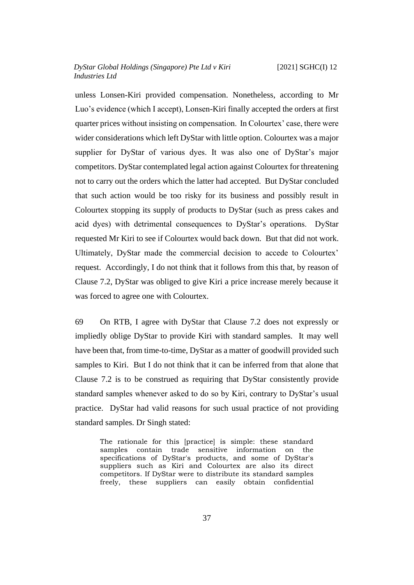unless Lonsen-Kiri provided compensation. Nonetheless, according to Mr Luo's evidence (which I accept), Lonsen-Kiri finally accepted the orders at first quarter prices without insisting on compensation. In Colourtex' case, there were wider considerations which left DyStar with little option. Colourtex was a major supplier for DyStar of various dyes. It was also one of DyStar's major competitors. DyStar contemplated legal action against Colourtex for threatening not to carry out the orders which the latter had accepted. But DyStar concluded that such action would be too risky for its business and possibly result in Colourtex stopping its supply of products to DyStar (such as press cakes and acid dyes) with detrimental consequences to DyStar's operations. DyStar requested Mr Kiri to see if Colourtex would back down. But that did not work. Ultimately, DyStar made the commercial decision to accede to Colourtex' request. Accordingly, I do not think that it follows from this that, by reason of Clause 7.2, DyStar was obliged to give Kiri a price increase merely because it was forced to agree one with Colourtex.

69 On RTB, I agree with DyStar that Clause 7.2 does not expressly or impliedly oblige DyStar to provide Kiri with standard samples. It may well have been that, from time-to-time, DyStar as a matter of goodwill provided such samples to Kiri. But I do not think that it can be inferred from that alone that Clause 7.2 is to be construed as requiring that DyStar consistently provide standard samples whenever asked to do so by Kiri, contrary to DyStar's usual practice. DyStar had valid reasons for such usual practice of not providing standard samples. Dr Singh stated:

The rationale for this [practice] is simple: these standard samples contain trade sensitive information on the specifications of DyStar's products, and some of DyStar's suppliers such as Kiri and Colourtex are also its direct competitors. If DyStar were to distribute its standard samples freely, these suppliers can easily obtain confidential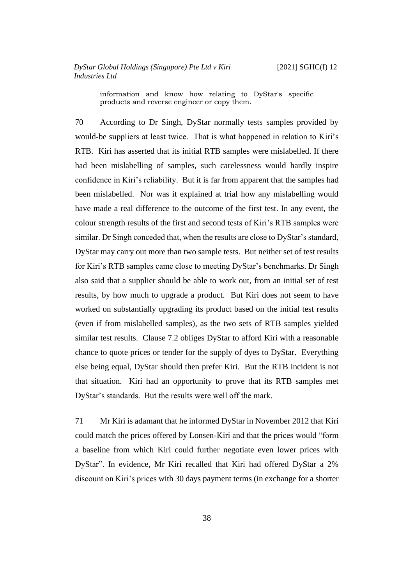information and know how relating to DyStar's specific products and reverse engineer or copy them.

70 According to Dr Singh, DyStar normally tests samples provided by would-be suppliers at least twice. That is what happened in relation to Kiri's RTB. Kiri has asserted that its initial RTB samples were mislabelled. If there had been mislabelling of samples, such carelessness would hardly inspire confidence in Kiri's reliability. But it is far from apparent that the samples had been mislabelled. Nor was it explained at trial how any mislabelling would have made a real difference to the outcome of the first test. In any event, the colour strength results of the first and second tests of Kiri's RTB samples were similar. Dr Singh conceded that, when the results are close to DyStar's standard, DyStar may carry out more than two sample tests. But neither set of test results for Kiri's RTB samples came close to meeting DyStar's benchmarks. Dr Singh also said that a supplier should be able to work out, from an initial set of test results, by how much to upgrade a product. But Kiri does not seem to have worked on substantially upgrading its product based on the initial test results (even if from mislabelled samples), as the two sets of RTB samples yielded similar test results. Clause 7.2 obliges DyStar to afford Kiri with a reasonable chance to quote prices or tender for the supply of dyes to DyStar. Everything else being equal, DyStar should then prefer Kiri. But the RTB incident is not that situation. Kiri had an opportunity to prove that its RTB samples met DyStar's standards. But the results were well off the mark.

<span id="page-40-0"></span>71 Mr Kiri is adamant that he informed DyStar in November 2012 that Kiri could match the prices offered by Lonsen-Kiri and that the prices would "form a baseline from which Kiri could further negotiate even lower prices with DyStar". In evidence, Mr Kiri recalled that Kiri had offered DyStar a 2% discount on Kiri's prices with 30 days payment terms (in exchange for a shorter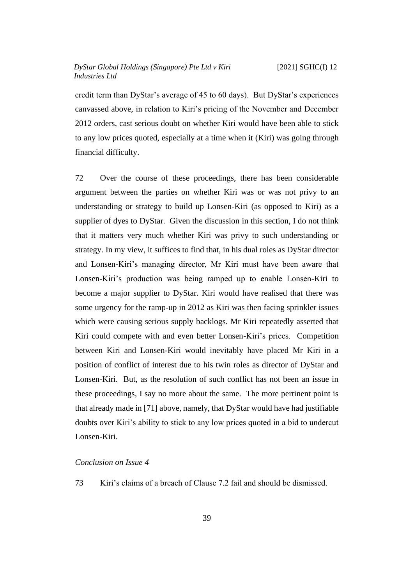credit term than DyStar's average of 45 to 60 days). But DyStar's experiences canvassed above, in relation to Kiri's pricing of the November and December 2012 orders, cast serious doubt on whether Kiri would have been able to stick to any low prices quoted, especially at a time when it (Kiri) was going through financial difficulty.

72 Over the course of these proceedings, there has been considerable argument between the parties on whether Kiri was or was not privy to an understanding or strategy to build up Lonsen-Kiri (as opposed to Kiri) as a supplier of dyes to DyStar. Given the discussion in this section, I do not think that it matters very much whether Kiri was privy to such understanding or strategy. In my view, it suffices to find that, in his dual roles as DyStar director and Lonsen-Kiri's managing director, Mr Kiri must have been aware that Lonsen-Kiri's production was being ramped up to enable Lonsen-Kiri to become a major supplier to DyStar. Kiri would have realised that there was some urgency for the ramp-up in 2012 as Kiri was then facing sprinkler issues which were causing serious supply backlogs. Mr Kiri repeatedly asserted that Kiri could compete with and even better Lonsen-Kiri's prices. Competition between Kiri and Lonsen-Kiri would inevitably have placed Mr Kiri in a position of conflict of interest due to his twin roles as director of DyStar and Lonsen-Kiri. But, as the resolution of such conflict has not been an issue in these proceedings, I say no more about the same. The more pertinent point is that already made in [\[71\]](#page-40-0) above, namely, that DyStar would have had justifiable doubts over Kiri's ability to stick to any low prices quoted in a bid to undercut Lonsen-Kiri.

#### <span id="page-41-0"></span>*Conclusion on Issue 4*

73 Kiri's claims of a breach of Clause 7.2 fail and should be dismissed.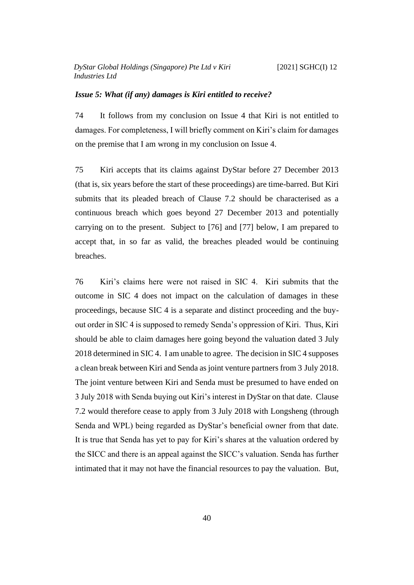#### <span id="page-42-0"></span>*Issue 5: What (if any) damages is Kiri entitled to receive?*

74 It follows from my conclusion on Issue 4 that Kiri is not entitled to damages. For completeness, I will briefly comment on Kiri's claim for damages on the premise that I am wrong in my conclusion on Issue 4.

75 Kiri accepts that its claims against DyStar before 27 December 2013 (that is, six years before the start of these proceedings) are time-barred. But Kiri submits that its pleaded breach of Clause 7.2 should be characterised as a continuous breach which goes beyond 27 December 2013 and potentially carrying on to the present. Subject to [\[76\]](#page-42-1) and [\[77\]](#page-43-0) below, I am prepared to accept that, in so far as valid, the breaches pleaded would be continuing breaches.

<span id="page-42-1"></span>76 Kiri's claims here were not raised in SIC 4. Kiri submits that the outcome in SIC 4 does not impact on the calculation of damages in these proceedings, because SIC 4 is a separate and distinct proceeding and the buyout order in SIC 4 is supposed to remedy Senda's oppression of Kiri. Thus, Kiri should be able to claim damages here going beyond the valuation dated 3 July 2018 determined in SIC 4. I am unable to agree. The decision in SIC 4 supposes a clean break between Kiri and Senda as joint venture partners from 3 July 2018. The joint venture between Kiri and Senda must be presumed to have ended on 3 July 2018 with Senda buying out Kiri's interest in DyStar on that date. Clause 7.2 would therefore cease to apply from 3 July 2018 with Longsheng (through Senda and WPL) being regarded as DyStar's beneficial owner from that date. It is true that Senda has yet to pay for Kiri's shares at the valuation ordered by the SICC and there is an appeal against the SICC's valuation. Senda has further intimated that it may not have the financial resources to pay the valuation. But,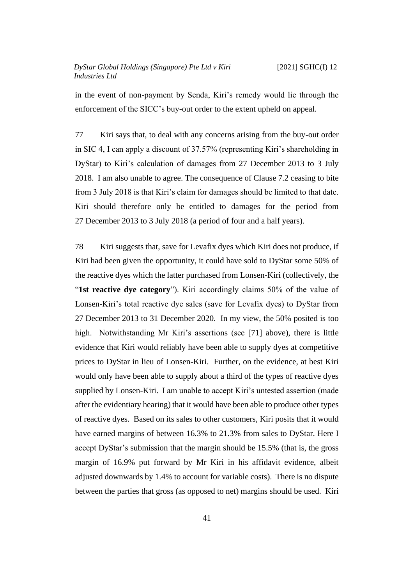in the event of non-payment by Senda, Kiri's remedy would lie through the enforcement of the SICC's buy-out order to the extent upheld on appeal.

<span id="page-43-0"></span>77 Kiri says that, to deal with any concerns arising from the buy-out order in SIC 4, I can apply a discount of 37.57% (representing Kiri's shareholding in DyStar) to Kiri's calculation of damages from 27 December 2013 to 3 July 2018. I am also unable to agree. The consequence of Clause 7.2 ceasing to bite from 3 July 2018 is that Kiri's claim for damages should be limited to that date. Kiri should therefore only be entitled to damages for the period from 27 December 2013 to 3 July 2018 (a period of four and a half years).

<span id="page-43-1"></span>78 Kiri suggests that, save for Levafix dyes which Kiri does not produce, if Kiri had been given the opportunity, it could have sold to DyStar some 50% of the reactive dyes which the latter purchased from Lonsen-Kiri (collectively, the "**1st reactive dye category**"). Kiri accordingly claims 50% of the value of Lonsen-Kiri's total reactive dye sales (save for Levafix dyes) to DyStar from 27 December 2013 to 31 December 2020. In my view, the 50% posited is too high. Notwithstanding Mr Kiri's assertions (see [\[71\]](#page-40-0) above), there is little evidence that Kiri would reliably have been able to supply dyes at competitive prices to DyStar in lieu of Lonsen-Kiri. Further, on the evidence, at best Kiri would only have been able to supply about a third of the types of reactive dyes supplied by Lonsen-Kiri. I am unable to accept Kiri's untested assertion (made after the evidentiary hearing) that it would have been able to produce other types of reactive dyes. Based on its sales to other customers, Kiri posits that it would have earned margins of between 16.3% to 21.3% from sales to DyStar. Here I accept DyStar's submission that the margin should be 15.5% (that is, the gross margin of 16.9% put forward by Mr Kiri in his affidavit evidence, albeit adjusted downwards by 1.4% to account for variable costs). There is no dispute between the parties that gross (as opposed to net) margins should be used. Kiri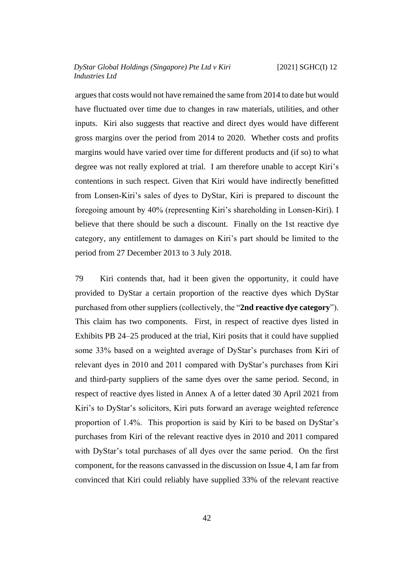argues that costs would not have remained the same from 2014 to date but would have fluctuated over time due to changes in raw materials, utilities, and other inputs. Kiri also suggests that reactive and direct dyes would have different gross margins over the period from 2014 to 2020. Whether costs and profits margins would have varied over time for different products and (if so) to what degree was not really explored at trial. I am therefore unable to accept Kiri's contentions in such respect. Given that Kiri would have indirectly benefitted from Lonsen-Kiri's sales of dyes to DyStar, Kiri is prepared to discount the foregoing amount by 40% (representing Kiri's shareholding in Lonsen-Kiri). I believe that there should be such a discount. Finally on the 1st reactive dye category, any entitlement to damages on Kiri's part should be limited to the period from 27 December 2013 to 3 July 2018.

79 Kiri contends that, had it been given the opportunity, it could have provided to DyStar a certain proportion of the reactive dyes which DyStar purchased from other suppliers (collectively, the "**2nd reactive dye category**"). This claim has two components. First, in respect of reactive dyes listed in Exhibits PB 24–25 produced at the trial, Kiri posits that it could have supplied some 33% based on a weighted average of DyStar's purchases from Kiri of relevant dyes in 2010 and 2011 compared with DyStar's purchases from Kiri and third-party suppliers of the same dyes over the same period. Second, in respect of reactive dyes listed in Annex A of a letter dated 30 April 2021 from Kiri's to DyStar's solicitors, Kiri puts forward an average weighted reference proportion of 1.4%. This proportion is said by Kiri to be based on DyStar's purchases from Kiri of the relevant reactive dyes in 2010 and 2011 compared with DyStar's total purchases of all dyes over the same period. On the first component, for the reasons canvassed in the discussion on Issue 4, I am far from convinced that Kiri could reliably have supplied 33% of the relevant reactive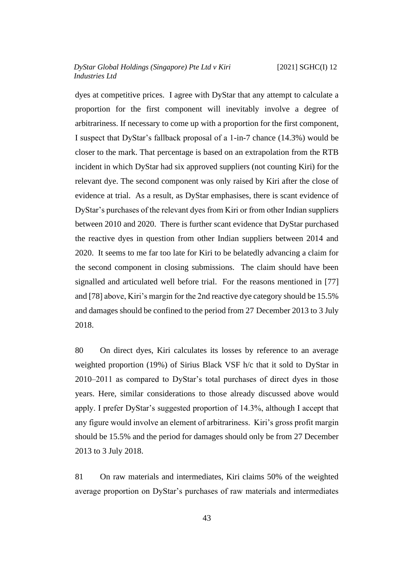dyes at competitive prices. I agree with DyStar that any attempt to calculate a proportion for the first component will inevitably involve a degree of arbitrariness. If necessary to come up with a proportion for the first component, I suspect that DyStar's fallback proposal of a 1-in-7 chance (14.3%) would be closer to the mark. That percentage is based on an extrapolation from the RTB incident in which DyStar had six approved suppliers (not counting Kiri) for the relevant dye. The second component was only raised by Kiri after the close of evidence at trial. As a result, as DyStar emphasises, there is scant evidence of DyStar's purchases of the relevant dyes from Kiri or from other Indian suppliers between 2010 and 2020. There is further scant evidence that DyStar purchased the reactive dyes in question from other Indian suppliers between 2014 and 2020. It seems to me far too late for Kiri to be belatedly advancing a claim for the second component in closing submissions. The claim should have been signalled and articulated well before trial. For the reasons mentioned in [\[77\]](#page-43-0) and [\[78\]](#page-43-1) above, Kiri's margin for the 2nd reactive dye category should be 15.5% and damages should be confined to the period from 27 December 2013 to 3 July 2018.

80 On direct dyes, Kiri calculates its losses by reference to an average weighted proportion (19%) of Sirius Black VSF h/c that it sold to DyStar in 2010–2011 as compared to DyStar's total purchases of direct dyes in those years. Here, similar considerations to those already discussed above would apply. I prefer DyStar's suggested proportion of 14.3%, although I accept that any figure would involve an element of arbitrariness. Kiri's gross profit margin should be 15.5% and the period for damages should only be from 27 December 2013 to 3 July 2018.

81 On raw materials and intermediates, Kiri claims 50% of the weighted average proportion on DyStar's purchases of raw materials and intermediates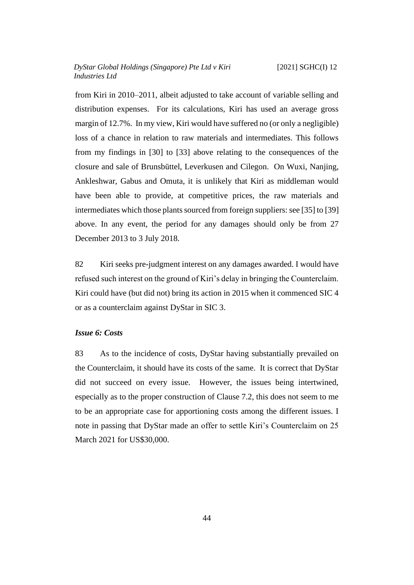from Kiri in 2010–2011, albeit adjusted to take account of variable selling and distribution expenses. For its calculations, Kiri has used an average gross margin of 12.7%. In my view, Kiri would have suffered no (or only a negligible) loss of a chance in relation to raw materials and intermediates. This follows from my findings in [\[30\]](#page-19-0) to [\[33\]](#page-21-0) above relating to the consequences of the closure and sale of Brunsbüttel, Leverkusen and Cilegon. On Wuxi, Nanjing, Ankleshwar, Gabus and Omuta, it is unlikely that Kiri as middleman would have been able to provide, at competitive prices, the raw materials and intermediates which those plants sourced from foreign suppliers: see [\[35\]](#page-21-1) to [\[39\]](#page-23-1) above. In any event, the period for any damages should only be from 27 December 2013 to 3 July 2018.

82 Kiri seeks pre-judgment interest on any damages awarded. I would have refused such interest on the ground of Kiri's delay in bringing the Counterclaim. Kiri could have (but did not) bring its action in 2015 when it commenced SIC 4 or as a counterclaim against DyStar in SIC 3.

## <span id="page-46-0"></span>*Issue 6: Costs*

83 As to the incidence of costs, DyStar having substantially prevailed on the Counterclaim, it should have its costs of the same. It is correct that DyStar did not succeed on every issue. However, the issues being intertwined, especially as to the proper construction of Clause 7.2, this does not seem to me to be an appropriate case for apportioning costs among the different issues. I note in passing that DyStar made an offer to settle Kiri's Counterclaim on 25 March 2021 for US\$30,000.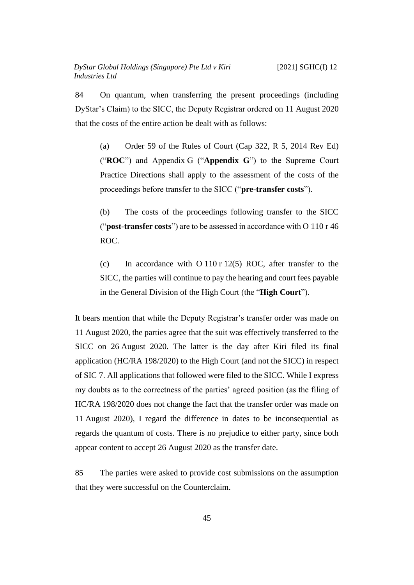84 On quantum, when transferring the present proceedings (including DyStar's Claim) to the SICC, the Deputy Registrar ordered on 11 August 2020 that the costs of the entire action be dealt with as follows:

(a) Order 59 of the Rules of Court (Cap 322, R 5, 2014 Rev Ed) ("**ROC**") and Appendix G ("**Appendix G**") to the Supreme Court Practice Directions shall apply to the assessment of the costs of the proceedings before transfer to the SICC ("**pre-transfer costs**").

(b) The costs of the proceedings following transfer to the SICC ("**post-transfer costs**") are to be assessed in accordance with O 110 r 46 ROC.

(c) In accordance with O 110 r 12(5) ROC, after transfer to the SICC, the parties will continue to pay the hearing and court fees payable in the General Division of the High Court (the "**High Court**").

It bears mention that while the Deputy Registrar's transfer order was made on 11 August 2020, the parties agree that the suit was effectively transferred to the SICC on 26 August 2020. The latter is the day after Kiri filed its final application (HC/RA 198/2020) to the High Court (and not the SICC) in respect of SIC 7. All applications that followed were filed to the SICC. While I express my doubts as to the correctness of the parties' agreed position (as the filing of HC/RA 198/2020 does not change the fact that the transfer order was made on 11 August 2020), I regard the difference in dates to be inconsequential as regards the quantum of costs. There is no prejudice to either party, since both appear content to accept 26 August 2020 as the transfer date.

85 The parties were asked to provide cost submissions on the assumption that they were successful on the Counterclaim.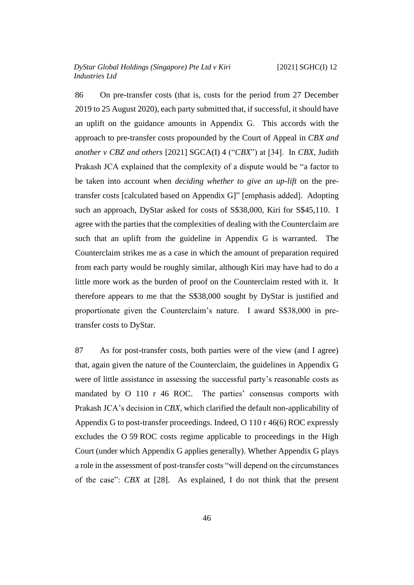86 On pre-transfer costs (that is, costs for the period from 27 December 2019 to 25 August 2020), each party submitted that, if successful, it should have an uplift on the guidance amounts in Appendix G. This accords with the approach to pre-transfer costs propounded by the Court of Appeal in *CBX and another v CBZ and others* [2021] SGCA(I) 4 ("*CBX*") at [34]. In *CBX*, Judith Prakash JCA explained that the complexity of a dispute would be "a factor to be taken into account when *deciding whether to give an up-lift* on the pretransfer costs [calculated based on Appendix G]" [emphasis added]. Adopting such an approach, DyStar asked for costs of S\$38,000, Kiri for S\$45,110. I agree with the parties that the complexities of dealing with the Counterclaim are such that an uplift from the guideline in Appendix G is warranted. The Counterclaim strikes me as a case in which the amount of preparation required from each party would be roughly similar, although Kiri may have had to do a little more work as the burden of proof on the Counterclaim rested with it. It therefore appears to me that the S\$38,000 sought by DyStar is justified and proportionate given the Counterclaim's nature. I award S\$38,000 in pretransfer costs to DyStar.

87 As for post-transfer costs, both parties were of the view (and I agree) that, again given the nature of the Counterclaim, the guidelines in Appendix G were of little assistance in assessing the successful party's reasonable costs as mandated by O 110 r 46 ROC. The parties' consensus comports with Prakash JCA's decision in *CBX*, which clarified the default non-applicability of Appendix G to post-transfer proceedings. Indeed, O 110 r 46(6) ROC expressly excludes the O 59 ROC costs regime applicable to proceedings in the High Court (under which Appendix G applies generally). Whether Appendix G plays a role in the assessment of post-transfer costs "will depend on the circumstances of the case": *CBX* at [28]. As explained, I do not think that the present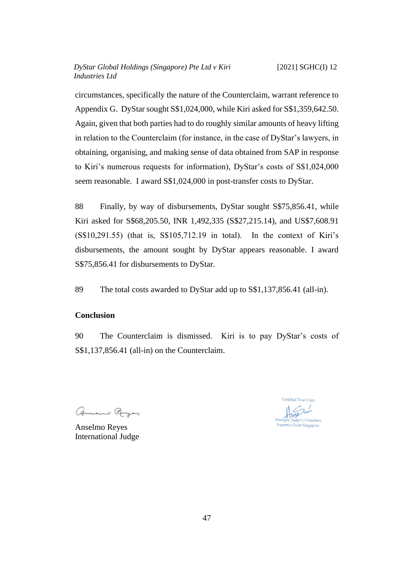circumstances, specifically the nature of the Counterclaim, warrant reference to Appendix G. DyStar sought S\$1,024,000, while Kiri asked for S\$1,359,642.50. Again, given that both parties had to do roughly similar amounts of heavy lifting in relation to the Counterclaim (for instance, in the case of DyStar's lawyers, in obtaining, organising, and making sense of data obtained from SAP in response to Kiri's numerous requests for information), DyStar's costs of S\$1,024,000 seem reasonable. I award S\$1,024,000 in post-transfer costs to DyStar.

88 Finally, by way of disbursements, DyStar sought S\$75,856.41, while Kiri asked for S\$68,205.50, INR 1,492,335 (S\$27,215.14), and US\$7,608.91 (S\$10,291.55) (that is, S\$105,712.19 in total). In the context of Kiri's disbursements, the amount sought by DyStar appears reasonable. I award S\$75,856.41 for disbursements to DyStar.

89 The total costs awarded to DyStar add up to S\$1,137,856.41 (all-in).

## <span id="page-49-0"></span>**Conclusion**

90 The Counterclaim is dismissed. Kiri is to pay DyStar's costs of S\$1,137,856.41 (all-in) on the Counterclaim.

Comment Rayer

Anselmo Reyes International Judge

Certified True Copy  $\frac{1}{\ln 100}$ Judge's Chamber Supreme Court Singapore